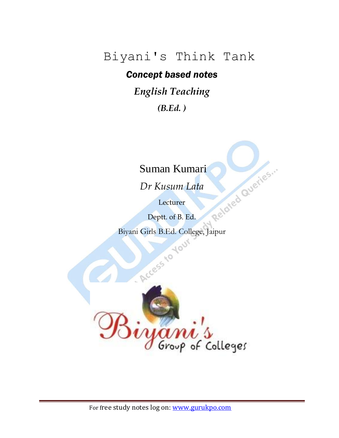### Biyani's Think Tank

#### *Concept based notes*

*English Teaching*

*(B.Ed. )*

*Dr Kusum Lata*

Lecturer

Suman Kumari<br>Dr Kusum Lata<br>Lecturer<br>Deptt. or Deptt. of B. Ed.

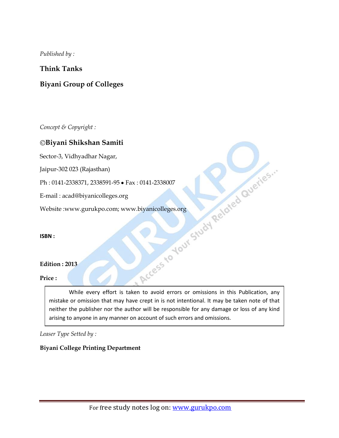*Published by :*

#### **Think Tanks**

#### **Biyani Group of Colleges**

*Concept & Copyright :*

#### **Biyani Shikshan Samiti**

Sector-3, Vidhyadhar Nagar,

Jaipur-302 023 (Rajasthan)

E-mail : acad@biyanicolleges.org

Website :www.gurukpo.com; www.biyanicolleges.org

**ISBN :** 

#### **Edition : 2013**

#### **Price :**

Ph : 0141-2338371, 2338591-95 • Fax : 0141-2338007<br>E-mail : acad@biyanicolleges.org<br>Website :www.gurukpo.com; www.biyanicolleges.org<br>ISBN :<br>Edition : 2013<br>Price : While every effort is taken to avoid errors or omissions in this Publication, any mistake or omission that may have crept in is not intentional. It may be taken note of that neither the publisher nor the author will be responsible for any damage or loss of any kind arising to anyone in any manner on account of such errors and omissions.

*Leaser Type Setted by :*

#### **Biyani College Printing Department**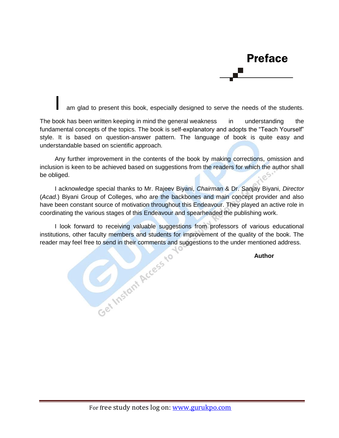## Preface

am glad to present this book, especially designed to serve the needs of the students.

The book has been written keeping in mind the general weakness in understanding the fundamental concepts of the topics. The book is self-explanatory and adopts the "Teach Yourself" style. It is based on question-answer pattern. The language of book is quite easy and understandable based on scientific approach.

Any further improvement in the contents of the book by making corrections, omission and inclusion is keen to be achieved based on suggestions from the readers for which the author shall be obliged.

I acknowledge special thanks to Mr. Rajeev Biyani, *Chairman* & Dr. Sanjay Biyani, *Director* (*Acad.*) Biyani Group of Colleges, who are the backbones and main concept provider and also have been constant source of motivation throughout this Endeavour. They played an active role in coordinating the various stages of this Endeavour and spearheaded the publishing work.

I look forward to receiving valuable suggestions from professors of various educational institutions, other faculty members and students for improvement of the quality of the book. The reader may feel free to send in their comments and suggestions to the under mentioned address. **Example 25 your conduct of the quality of the quality of the quality of the quality of the distribution of the quality of the Author**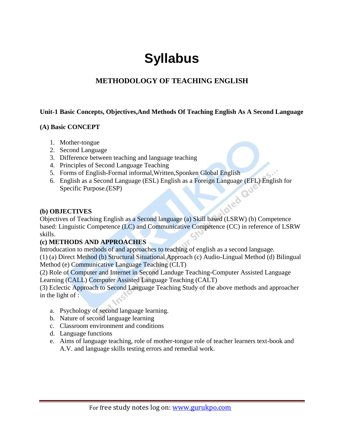## **Syllabus**

#### **METHODOLOGY OF TEACHING ENGLISH**

#### **Unit-1 Basic Concepts, Objectives,And Methods Of Teaching English As A Second Language**

#### **(A) Basic CONCEPT**

- 1. Mother-tongue
- 2. Second Language
- 3. Difference between teaching and language teaching
- 4. Principles of Second Language Teaching
- 5. Forms of English-Formal informal,Written,Sponken Global English
- 6. English as a Second Language (ESL) English as a Foreign Language (EFL) English for Specific Purpose.(ESP)

#### **(b) OBJECTIVES**

Objectives of Teaching English as a Second language (a) Skill based (LSRW) (b) Competence based: Linguistic Competence (LC) and Communicative Competence (CC) in reference of LSRW skills.

#### **(c) METHODS AND APPROACHES**

Introducation to methods of and approaches to teaching of english as a second language.

(1) (a) Direct Method (b) Structural Situational Approach (c) Audio-Lingual Method (d) Bilingual Method (e) Communicative Language Teaching (CLT)

(2) Role of Computer and Internet in Second Landuge Teaching-Computer Assisted Language Learning (CALL) Computer Assisted Language Teaching (CALT)

(3) Eclectic Approach to Second Language Teaching Study of the above methods and approacher in the light of :

- a. Psychology of second language learning.
- b. Nature of second language learning
- c. Classroom environment and conditions
- d. Language functions
- e. Aims of language teaching, role of mother-tongue role of teacher learners text-book and A.V. and language skills testing errors and remedial work.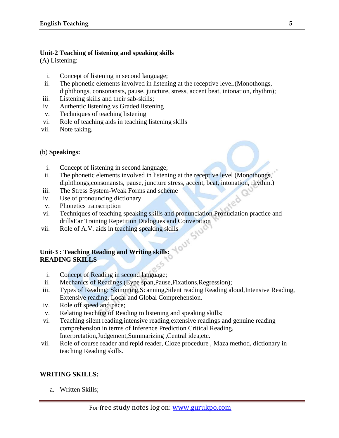#### **Unit-2 Teaching of listening and speaking skills**

(A) Listening:

- i. Concept of listening in second language;
- ii. The phonetic elements involved in listening at the receptive level.(Monothongs, diphthongs, consonansts, pause, juncture, stress, accent beat, intonation, rhythm);
- iii. Listening skills and their sab-skills;
- iv. Authentic listening vs Graded listening
- v. Techniques of teaching listening
- vi. Role of teaching aids in teaching listening skills
- vii. Note taking.

#### (b) **Speakings:**

- i. Concept of listening in second language;
- ii. The phonetic elements involved in listening at the receptive level (Monothongs, diphthongs, consonansts, pause, juncture stress, accent, beat, intonation, rhythm.)
- iii. The Stress System-Weak Forms and scheme
- iv. Use of pronouncing dictionary
- v. Phonetics transcription
- vi. Techniques of teaching speaking skills and pronunciation Pronuciation practice and drillsEar Training Repetition Dialogues and Converation
- vii. Role of A.V. aids in teaching speaking skills

#### **Unit-3 : Teaching Reading and Writing skills: READING SKILLS**

- i. Concept of Reading in second language;
- ii. Mechanics of Readings (Eype span,Pause,Fixations,Regression);
- iii. Types of Reading: Skimming,Scanning,Silent reading Reading aloud,Intensive Reading, Extensive reading, Local and Global Comprehension.
- iv. Role off speed and pace;
- v. Relating teaching of Reading to listening and speaking skills;
- vi. Teaching silent reading,intensive reading,extensive readings and genuine reading comprehenslon in terms of Inference Prediction Critical Reading, Interpretation,Judgement,Summarizing ,Central idea,etc.
- vii. Role of course reader and repid reader, Cloze procedure , Maza method, dictionary in teaching Reading skills.

#### **WRITING SKILLS:**

a. Written Skills;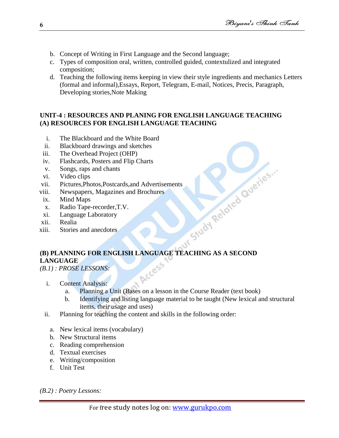- b. Concept of Writing in First Language and the Second language;
- c. Types of composition oral, written, controlled guided, contextulized and integrated composition;
- d. Teaching the following items keeping in view their style ingredients and mechanics Letters (formal and informal),Essays, Report, Telegram, E-mail, Notices, Precis, Paragraph, Developing stories,Note Making

#### **UNIT-4 : RESOURCES AND PLANING FOR ENGLISH LANGUAGE TEACHING (A) RESOURCES FOR ENGLISH LANGUAGE TEACHING**

- i. The Blackboard and the White Board
- ii. Blackboard drawings and sketches
- iii. The Overhead Project (OHP)
- iv. Flashcards, Posters and Flip Charts
- v. Songs, raps and chants
- vi. Video clips
- vii. Pictures,Photos,Postcards,and Advertisements
- viii. Newspapers, Magazines and Brochures
- ix. Mind Maps
- x. Radio Tape-recorder,T.V.
- xi. Language Laboratory
- xii. Realia
- xiii. Stories and anecdotes

# Exploration Contempt 25 with the state of the state of the state of the state of the state of the state of the state of the state of the state of the state of the state of the state of the state of the state of the state o Arcess **LANGUAGE**

*(B.1) : PROSE LESSONS:*

- i. Content Analysis:
	- a. Planning a Unit (Bases on a lesson in the Course Reader (text book)
	- b. Identifying and listing language material to be taught (New lexical and structural items, their usage and uses)
- ii. Planning for teaching the content and skills in the following order:
	- a. New lexical items (vocabulary)
	- b. New Structural items
	- c. Reading comprehension
	- d. Textual exercises
	- e. Writing/composition
	- f. Unit Test

*(B.2) : Poetry Lessons:*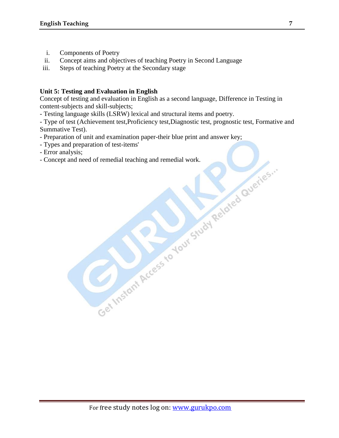- i. Components of Poetry
- ii. Concept aims and objectives of teaching Poetry in Second Language
- iii. Steps of teaching Poetry at the Secondary stage

#### **Unit 5: Testing and Evaluation in English**

Concept of testing and evaluation in English as a second language, Difference in Testing in content-subjects and skill-subjects;

- Testing language skills (LSRW) lexical and structural items and poetry.

- Type of test (Achievement test,Proficiency test,Diagnostic test, prognostic test, Formative and Summative Test).

- Preparation of unit and examination paper-their blue print and answer key;

- 
- Error analysis;

- Types and preparation of test-items'<br>- Error analysis;<br>- Concept and need of remedial teaching and remedial work.<br>- Concept and need of remedial teaching and remedial work.<br>- Analy Study Reddred Querre - Concept and need of remedial teaching and remedial work.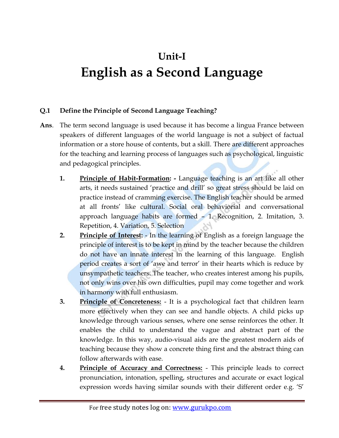## **Unit-I English as a Second Language**

#### **Q.1 Define the Principle of Second Language Teaching?**

- **Ans**. The term second language is used because it has become a lingua France between speakers of different languages of the world language is not a subject of factual information or a store house of contents, but a skill. There are different approaches for the teaching and learning process of languages such as psychological, linguistic and pedagogical principles.
	- **1. Principle of Habit-Formation: -** Language teaching is an art like all other arts, it needs sustained "practice and drill" so great stress should be laid on practice instead of cramming exercise. The English teacher should be armed at all fronts" like cultural. Social oral behaviorial and conversational approach language habits are formed – 1. Recognition, 2. Imitation, 3. Repetition, 4. Variation, 5. Selection
	- **2. Principle of Interest:** In the learning of English as a foreign language the principle of interest is to be kept in mind by the teacher because the children do not have an innate interest in the learning of this language. English period creates a sort of 'awe and terror' in their hearts which is reduce by unsympathetic teachers. The teacher, who creates interest among his pupils, not only wins over his own difficulties, pupil may come together and work in harmony with full enthusiasm.
	- **3. Principle of Concreteness:** It is a psychological fact that children learn more effectively when they can see and handle objects. A child picks up knowledge through various senses, where one sense reinforces the other. It enables the child to understand the vague and abstract part of the knowledge. In this way, audio-visual aids are the greatest modern aids of teaching because they show a concrete thing first and the abstract thing can follow afterwards with ease.
	- **4. Principle of Accuracy and Correctness:** This principle leads to correct pronunciation, intonation, spelling, structures and accurate or exact logical expression words having similar sounds with their different order e.g. 'S'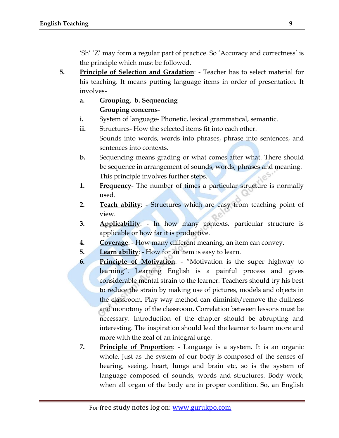"Sh" "Z" may form a regular part of practice. So "Accuracy and correctness" is the principle which must be followed.

- **5. Principle of Selection and Gradation**: Teacher has to select material for his teaching. It means putting language items in order of presentation. It involves
	- **a. Grouping, b. Sequencing Grouping concerns**-
	- **i.** System of language- Phonetic, lexical grammatical, semantic.
	- **ii.** Structures- How the selected items fit into each other. Sounds into words, words into phrases, phrase into sentences, and sentences into contexts.
	- **b.** Sequencing means grading or what comes after what. There should be sequence in arrangement of sounds, words, phrases and meaning. This principle involves further steps.
	- **1. Frequency** The number of times a particular structure is normally used.
	- **2. Teach ability**: Structures which are easy from teaching point of view.
	- **3. Applicability**: In how many contexts, particular structure is applicable or how far it is productive.
	- **4. Coverage**: How many different meaning, an item can convey.
	- **5. Learn ability**: How for an item is easy to learn.
	- **6. Principle of Motivation**: "Motivation is the super highway to learning". Learning English is a painful process and gives considerable mental strain to the learner. Teachers should try his best to reduce the strain by making use of pictures, models and objects in the classroom. Play way method can diminish/remove the dullness and monotony of the classroom. Correlation between lessons must be necessary. Introduction of the chapter should be abrupting and interesting. The inspiration should lead the learner to learn more and more with the zeal of an integral urge.
	- **7. Principle of Proportion**: Language is a system. It is an organic whole. Just as the system of our body is composed of the senses of hearing, seeing, heart, lungs and brain etc, so is the system of language composed of sounds, words and structures. Body work, when all organ of the body are in proper condition. So, an English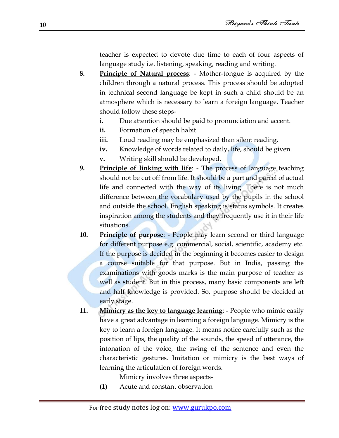teacher is expected to devote due time to each of four aspects of language study i.e. listening, speaking, reading and writing.

- **8. Principle of Natural process**: Mother-tongue is acquired by the children through a natural process. This process should be adopted in technical second language be kept in such a child should be an atmosphere which is necessary to learn a foreign language. Teacher should follow these steps
	- **i.** Due attention should be paid to pronunciation and accent.
	- **ii.** Formation of speech habit.
	- **iii.** Loud reading may be emphasized than silent reading.
	- **iv.** Knowledge of words related to daily, life, should be given.
	- **v.** Writing skill should be developed.
- **9. Principle of linking with life**: The process of language teaching should not be cut off from life. It should be a part and parcel of actual life and connected with the way of its living. There is not much difference between the vocabulary used by the pupils in the school and outside the school. English speaking is status symbols. It creates inspiration among the students and they frequently use it in their life situations.
- **10. Principle of purpose**: People may learn second or third language for different purpose e.g. commercial, social, scientific, academy etc. If the purpose is decided in the beginning it becomes easier to design a course suitable for that purpose. But in India, passing the examinations with goods marks is the main purpose of teacher as well as student. But in this process, many basic components are left and half knowledge is provided. So, purpose should be decided at early stage.
- **11. Mimicry as the key to language learning**: People who mimic easily have a great advantage in learning a foreign language. Mimicry is the key to learn a foreign language. It means notice carefully such as the position of lips, the quality of the sounds, the speed of utterance, the intonation of the voice, the swing of the sentence and even the characteristic gestures. Imitation or mimicry is the best ways of learning the articulation of foreign words.

Mimicry involves three aspects-

**(1)** Acute and constant observation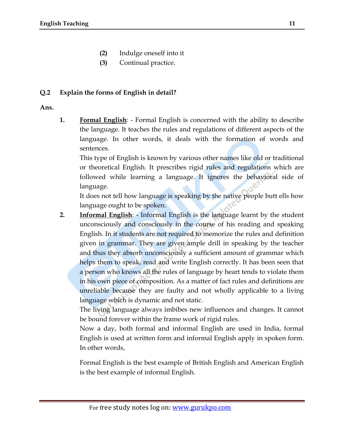- **(2)** Indulge oneself into it
- **(3)** Continual practice.

#### **Q.2 Explain the forms of English in detail?**

#### **Ans.**

**1. Formal English**: - Formal English is concerned with the ability to describe the language. It teaches the rules and regulations of different aspects of the language. In other words, it deals with the formation of words and sentences.

This type of English is known by various other names like old or traditional or theoretical English. It prescribes rigid rules and regulations which are followed while learning a language. It ignores the behavioral side of language.

It does not tell how language is speaking by the native people butt ells how language ought to be spoken.

**2. Informal English**: - Informal English is the language learnt by the student unconsciously and consciously in the course of his reading and speaking English. In it students are not required to memorize the rules and definition given in grammar. They are given ample drill in speaking by the teacher and thus they absorb unconsciously a sufficient amount of grammar which helps them to speak, read and write English correctly. It has been seen that a person who knows all the rules of language by heart tends to violate them in his own piece of composition. As a matter of fact rules and definitions are unreliable because they are faulty and not wholly applicable to a living language which is dynamic and not static.

The living language always imbibes new influences and changes. It cannot be bound forever within the frame work of rigid rules.

Now a day, both formal and informal English are used in India, formal English is used at written form and informal English apply in spoken form. In other words,

Formal English is the best example of British English and American English is the best example of informal English.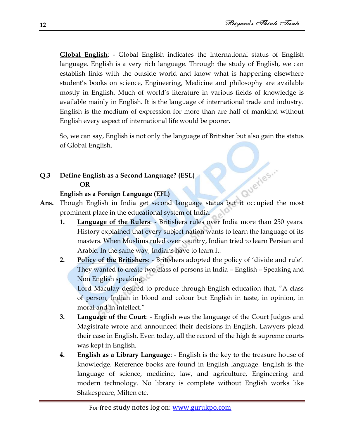**Global English**: - Global English indicates the international status of English language. English is a very rich language. Through the study of English, we can establish links with the outside world and know what is happening elsewhere student"s books on science, Engineering, Medicine and philosophy are available mostly in English. Much of world"s literature in various fields of knowledge is available mainly in English. It is the language of international trade and industry. English is the medium of expression for more than are half of mankind without English every aspect of international life would be poorer.

So, we can say, English is not only the language of Britisher but also gain the status of Global English.

## **Q.3 Define English as a Second Language? (ESL) OR** Ans. Though English in India get second language status but it occupied the most

#### **English as a Foreign Language (EFL)**

- prominent place in the educational system of India.
	- **1. Language of the Rulers**: Britishers rules over India more than 250 years. History explained that every subject nation wants to learn the language of its masters. When Muslims ruled over country, Indian tried to learn Persian and Arabic. In the same way, Indians have to learn it.
	- **2. Policy of the Britishers**: Britishers adopted the policy of "divide and rule". They wanted to create two class of persons in India – English – Speaking and Non English speaking.

Lord Maculay desired to produce through English education that, "A class of person, Indian in blood and colour but English in taste, in opinion, in moral and in intellect."

- **3. Language of the Court**: English was the language of the Court Judges and Magistrate wrote and announced their decisions in English. Lawyers plead their case in English. Even today, all the record of the high & supreme courts was kept in English.
- **4. English as a Library Language**: English is the key to the treasure house of knowledge. Reference books are found in English language. English is the language of science, medicine, law, and agriculture, Engineering and modern technology. No library is complete without English works like Shakespeare, Milten etc.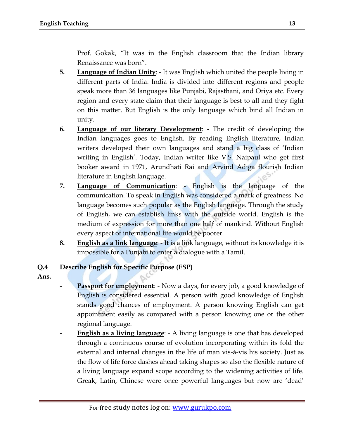Prof. Gokak, "It was in the English classroom that the Indian library Renaissance was born".

- **5. Language of Indian Unity**: It was English which united the people living in different parts of India. India is divided into different regions and people speak more than 36 languages like Punjabi, Rajasthani, and Oriya etc. Every region and every state claim that their language is best to all and they fight on this matter. But English is the only language which bind all Indian in unity.
- **6. Language of our literary Development**: The credit of developing the Indian languages goes to English. By reading English literature, Indian writers developed their own languages and stand a big class of "Indian writing in English'. Today, Indian writer like V.S. Naipaul who get first booker award in 1971, Arundhati Rai and Arvind Adiga flourish Indian literature in English language.
- **7. Language of Communication**: English is the language of the communication. To speak in English was considered a mark of greatness. No language becomes such popular as the English language. Through the study of English, we can establish links with the outside world. English is the medium of expression for more than one half of mankind. Without English every aspect of international life would be poorer.
- **8. English as a link language**: It is a link language, without its knowledge it is impossible for a Punjabi to enter a dialogue with a Tamil.

#### **Q.4 Describe English for Specific Purpose (ESP)**

- **Ans.**
- **Passport for employment**: Now a days, for every job, a good knowledge of English is considered essential. A person with good knowledge of English stands good chances of employment. A person knowing English can get appointment easily as compared with a person knowing one or the other regional language.
- **- English as a living language**: A living language is one that has developed through a continuous course of evolution incorporating within its fold the external and internal changes in the life of man vis-à-vis his society. Just as the flow of life force dashes ahead taking shapes so also the flexible nature of a living language expand scope according to the widening activities of life. Greak, Latin, Chinese were once powerful languages but now are "dead"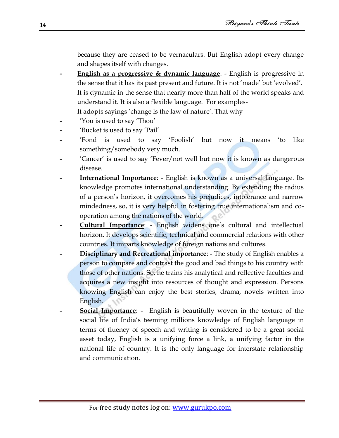because they are ceased to be vernaculars. But English adopt every change and shapes itself with changes.

- **- English as a progressive & dynamic language**: English is progressive in the sense that it has its past present and future. It is not "made" but "evolved". It is dynamic in the sense that nearly more than half of the world speaks and understand it. It is also a flexible language. For examples-It adopts sayings 'change is the law of nature'. That why
- **-** "You is used to say "Thou"
- **-** "Bucket is used to say "Pail"
- **-** "Fond is used to say "Foolish" but now it means "to like something/somebody very much.
- **-** "Cancer" is used to say "Fever/not well but now it is known as dangerous disease.
- **- International Importance**: English is known as a universal language. Its knowledge promotes international understanding. By extending the radius of a person's horizon, it overcomes his prejudices, intolerance and narrow mindedness, so, it is very helpful in fostering true internationalism and cooperation among the nations of the world. OC
- **- Cultural Importance**: English widens one"s cultural and intellectual horizon. It develops scientific, technical and commercial relations with other countries. It imparts knowledge of foreign nations and cultures.
- **- Disciplinary and Recreational importance**: The study of English enables a person to compare and contrast the good and bad things to his country with those of other nations. So, he trains his analytical and reflective faculties and acquires a new insight into resources of thought and expression. Persons knowing English can enjoy the best stories, drama, novels written into English.
- **- Social Importance**: English is beautifully woven in the texture of the social life of India"s teeming millions knowledge of English language in terms of fluency of speech and writing is considered to be a great social asset today, English is a unifying force a link, a unifying factor in the national life of country. It is the only language for interstate relationship and communication.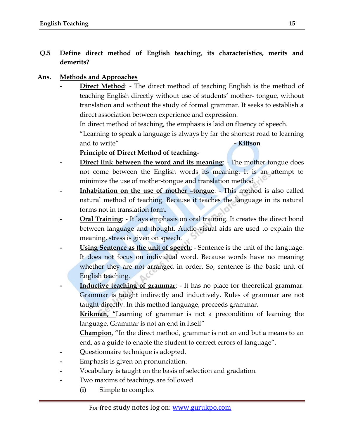#### **Q.5 Define direct method of English teaching, its characteristics, merits and demerits?**

#### **Ans. Methods and Approaches**

**Direct Method:** - The direct method of teaching English is the method of teaching English directly without use of students" mother- tongue, without translation and without the study of formal grammar. It seeks to establish a direct association between experience and expression.

In direct method of teaching, the emphasis is laid on fluency of speech.

"Learning to speak a language is always by far the shortest road to learning and to write" **- Kittson**

#### **Principle of Direct Method of teaching**-

- **Direct link between the word and its meaning:** The mother tongue does not come between the English words its meaning. It is an attempt to minimize the use of mother-tongue and translation method.
- **Inhabitation on the use of mother -tongue:** This method is also called natural method of teaching. Because it teaches the language in its natural forms not in translation form.
- **<u><b>Oral Training</u>**: It lays emphasis on oral training. It creates the direct bond</u> between language and thought. Audio-visual aids are used to explain the meaning, stress is given on speech.
- **- Using Sentence as the unit of speech**: Sentence is the unit of the language. It does not focus on individual word. Because words have no meaning whether they are not arranged in order. So, sentence is the basic unit of English teaching.
- **Inductive teaching of grammar**: It has no place for theoretical grammar. Grammar is taught indirectly and inductively. Rules of grammar are not taught directly. In this method language, proceeds grammar.

**Krikman, "**Learning of grammar is not a precondition of learning the language. Grammar is not an end in itself"

**Champion**, "In the direct method, grammar is not an end but a means to an end, as a guide to enable the student to correct errors of language".

- **-** Questionnaire technique is adopted.
- **-** Emphasis is given on pronunciation.
- **-** Vocabulary is taught on the basis of selection and gradation.
- **-** Two maxims of teachings are followed.
	- **(i)** Simple to complex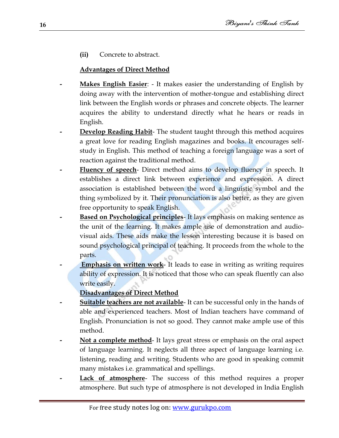**(ii)** Concrete to abstract.

#### **Advantages of Direct Method**

- **- Makes English Easier**: It makes easier the understanding of English by doing away with the intervention of mother-tongue and establishing direct link between the English words or phrases and concrete objects. The learner acquires the ability to understand directly what he hears or reads in English.
- **Develop Reading Habit-** The student taught through this method acquires a great love for reading English magazines and books. It encourages selfstudy in English. This method of teaching a foreign language was a sort of reaction against the traditional method.
- **Fluency of speech** Direct method aims to develop fluency in speech. It establishes a direct link between experience and expression. A direct association is established between the word a linguistic symbol and the thing symbolized by it. Their pronunciation is also better, as they are given free opportunity to speak English.
- **Based on Psychological principles** It lays emphasis on making sentence as the unit of the learning. It makes ample use of demonstration and audiovisual aids. These aids make the lesson interesting because it is based on sound psychological principal of teaching. It proceeds from the whole to the parts.
- **- Emphasis on written work** It leads to ease in writing as writing requires ability of expression. It is noticed that those who can speak fluently can also write easily.
	- **Disadvantages of Direct Method**
- **- Suitable teachers are not available** It can be successful only in the hands of able and experienced teachers. Most of Indian teachers have command of English. Pronunciation is not so good. They cannot make ample use of this method.
- **- Not a complete method** It lays great stress or emphasis on the oral aspect of language learning. It neglects all three aspect of language learning i.e. listening, reading and writing. Students who are good in speaking commit many mistakes i.e. grammatical and spellings.
- **Lack of atmosphere** The success of this method requires a proper atmosphere. But such type of atmosphere is not developed in India English

**16**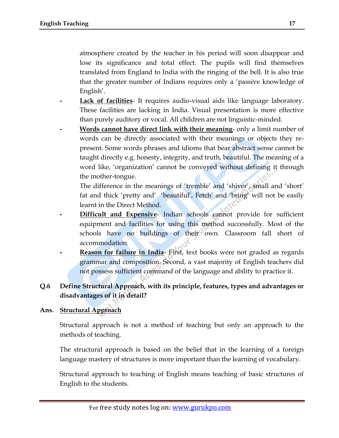atmosphere created by the teacher in his period will soon disappear and lose its significance and total effect. The pupils will find themselves translated from England to India with the ringing of the bell. It is also true that the greater number of Indians requires only a "passive knowledge of English'.

- **- Lack of facilities** It requires audio-visual aids like language laboratory. These facilities are lacking in India. Visual presentation is more effective than purely auditory or vocal. All children are not linguistic-minded.
- **- Words cannot have direct link with their meaning** only a limit number of words can be directly associated with their meanings or objects they represent. Some words phrases and idioms that bear abstract sense cannot be taught directly e.g. honesty, integrity, and truth, beautiful. The meaning of a word like, "organization" cannot be conveyed without defining it through the mother-tongue.

The difference in the meanings of 'tremble' and 'shiver', small and 'short' fat and thick "pretty and" "beautiful", Fetch" and "bring" will not be easily learnt in the Direct Method.

- **Difficult and Expensive-** Indian schools cannot provide for sufficient equipment and facilities for using this method successfully. Most of the schools have no buildings of their own. Classroom fall short of accommodation.
- **- Reason for failure in India** First, text books were not graded as regards grammar and composition. Second, a vast majority of English teachers did not possess sufficient command of the language and ability to practice it.

#### **Q.6 Define Structural Approach, with its principle, features, types and advantages or disadvantages of it in detail?**

#### **Ans. Structural Approach**

Structural approach is not a method of teaching but only an approach to the methods of teaching.

The structural approach is based on the belief that in the learning of a foreign language mastery of structures is more important than the learning of vocabulary.

Structural approach to teaching of English means teaching of basic structures of English to the students.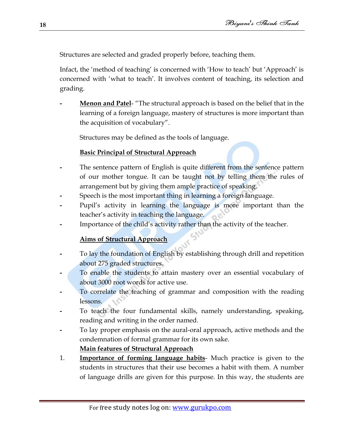Structures are selected and graded properly before, teaching them.

Infact, the 'method of teaching' is concerned with 'How to teach' but 'Approach' is concerned with "what to teach". It involves content of teaching, its selection and grading.

**- Menon and Patel**- "The structural approach is based on the belief that in the learning of a foreign language, mastery of structures is more important than the acquisition of vocabulary".

Structures may be defined as the tools of language.

#### **Basic Principal of Structural Approach**

- **-** The sentence pattern of English is quite different from the sentence pattern of our mother tongue. It can be taught not by telling them the rules of arrangement but by giving them ample practice of speaking.
- **-** Speech is the most important thing in learning a foreign language.
- **-** Pupil"s activity in learning the language is more important than the teacher's activity in teaching the language.
- **-** Importance of the child"s activity rather than the activity of the teacher.

#### **Aims of Structural Approach**

- **-** To lay the foundation of English by establishing through drill and repetition about 275 graded structures.
- **-** To enable the students to attain mastery over an essential vocabulary of about 3000 root words for active use.
- **-** To correlate the teaching of grammar and composition with the reading lessons.
- **-** To teach the four fundamental skills, namely understanding, speaking, reading and writing in the order named.
- **-** To lay proper emphasis on the aural-oral approach, active methods and the condemnation of formal grammar for its own sake.

#### **Main features of Structural Approach**

1. **Importance of forming language habits**- Much practice is given to the students in structures that their use becomes a habit with them. A number of language drills are given for this purpose. In this way, the students are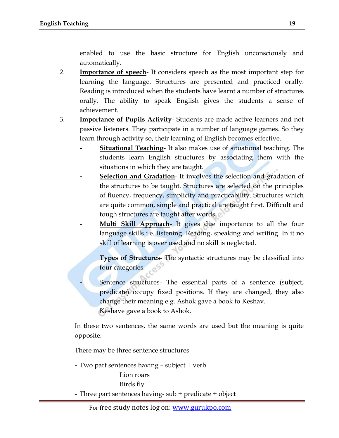enabled to use the basic structure for English unconsciously and automatically.

- 2. **Importance of speech** It considers speech as the most important step for learning the language. Structures are presented and practiced orally. Reading is introduced when the students have learnt a number of structures orally. The ability to speak English gives the students a sense of achievement.
- 3. **Importance of Pupils Activity** Students are made active learners and not passive listeners. They participate in a number of language games. So they learn through activity so, their learning of English becomes effective.
	- **- Situational Teaching-** It also makes use of situational teaching. The students learn English structures by associating them with the situations in which they are taught.
	- **- Selection and Gradation** It involves the selection and gradation of the structures to be taught. Structures are selected on the principles of fluency, frequency, simplicity and practicability. Structures which are quite common, simple and practical are taught first. Difficult and tough structures are taught after words.
		- **Multi Skill Approach** It gives due importance to all the four language skills i.e. listening. Reading, speaking and writing. In it no skill of learning is over used and no skill is neglected.

**Types of Structures-** The syntactic structures may be classified into four categories.

**-** Sentence structures- The essential parts of a sentence (subject, predicate) occupy fixed positions. If they are changed, they also change their meaning e.g. Ashok gave a book to Keshav. Keshave gave a book to Ashok.

In these two sentences, the same words are used but the meaning is quite opposite.

There may be three sentence structures

**-** Two part sentences having – subject + verb

Lion roars Birds fly **-** Three part sentences having- sub + predicate + object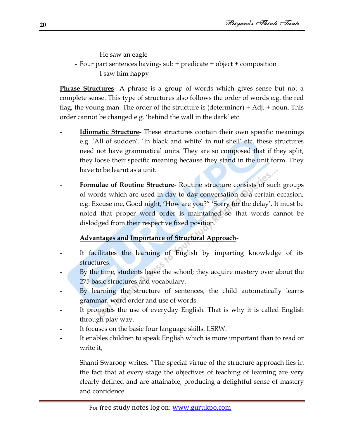He saw an eagle

#### **-** Four part sentences having- sub + predicate + object + composition I saw him happy

**Phrase Structures**- A phrase is a group of words which gives sense but not a complete sense. This type of structures also follows the order of words e.g. the red flag, the young man. The order of the structure is (determiner) + Adj. + noun. This order cannot be changed e.g. 'behind the wall in the dark' etc.

- **Idiomatic Structure-** These structures contain their own specific meanings e.g. 'All of sudden'. 'In black and white' in nut shell' etc. these structures need not have grammatical units. They are so composed that if they split, they loose their specific meaning because they stand in the unit form. They have to be learnt as a unit.
- **Formulae of Routine Structure** Routine structure consists of such groups of words which are used in day to day conversation or a certain occasion, e.g. Excuse me, Good night, 'How are you?" 'Sorry for the delay'. It must be noted that proper word order is maintained so that words cannot be dislodged from their respective fixed position.

#### **Advantages and Importance of Structural Approach**-

- **-** It facilitates the learning of English by imparting knowledge of its structures.
- **-** By the time, students leave the school; they acquire mastery over about the 275 basic structures and vocabulary.
- **-** By learning the structure of sentences, the child automatically learns grammar, word order and use of words.
- **-** It promotes the use of everyday English. That is why it is called English through play way.
- **-** It focuses on the basic four language skills. LSRW.
- **-** It enables children to speak English which is more important than to read or write it,

Shanti Swaroop writes, "The special virtue of the structure approach lies in the fact that at every stage the objectives of teaching of learning are very clearly defined and are attainable, producing a delightful sense of mastery and confidence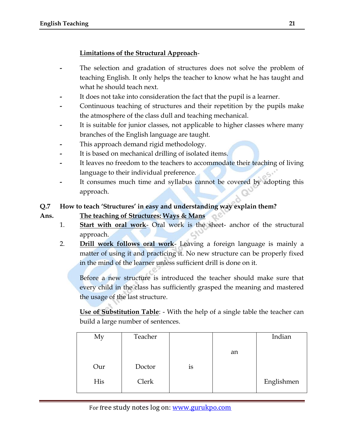#### **Limitations of the Structural Approach**-

- **-** The selection and gradation of structures does not solve the problem of teaching English. It only helps the teacher to know what he has taught and what he should teach next.
- **-** It does not take into consideration the fact that the pupil is a learner.
- **-** Continuous teaching of structures and their repetition by the pupils make the atmosphere of the class dull and teaching mechanical.
- **-** It is suitable for junior classes, not applicable to higher classes where many branches of the English language are taught.
- **-** This approach demand rigid methodology.
- **-** It is based on mechanical drilling of isolated items.
- **-** It leaves no freedom to the teachers to accommodate their teaching of living language to their individual preference.
- **-** It consumes much time and syllabus cannot be covered by adopting this approach.

#### **Q.7 How to teach "Structures" in easy and understanding way explain them?**

**Ans. The teaching of Structures: Ways & Mans**

- 1. **Start with oral work** Oral work is the sheet- anchor of the structural approach.
- 2. **Drill work follows oral work** Leaving a foreign language is mainly a matter of using it and practicing it. No new structure can be properly fixed in the mind of the learner unless sufficient drill is done on it.

Before a new structure is introduced the teacher should make sure that every child in the class has sufficiently grasped the meaning and mastered the usage of the last structure.

**Use of Substitution Table**: - With the help of a single table the teacher can build a large number of sentences.

| My  | Teacher |    |    | Indian     |
|-----|---------|----|----|------------|
|     |         |    | an |            |
| Our | Doctor  | is |    |            |
| His | Clerk   |    |    | Englishmen |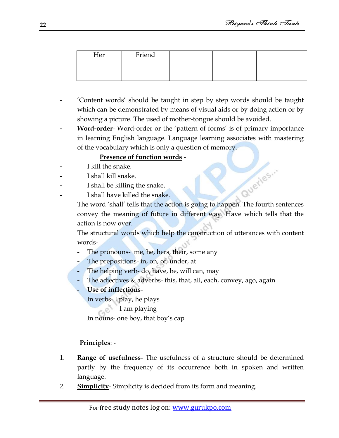| Her | Friend |  |  |
|-----|--------|--|--|
|     |        |  |  |
|     |        |  |  |

- **-** "Content words" should be taught in step by step words should be taught which can be demonstrated by means of visual aids or by doing action or by showing a picture. The used of mother-tongue should be avoided.
- **- Word-order** Word-order or the "pattern of forms" is of primary importance in learning English language. Language learning associates with mastering of the vocabulary which is only a question of memory.

#### **Presence of function words** -

- **-** I kill the snake.
- **-** I shall kill snake.
- **-** I shall be killing the snake.
- **-** I shall have killed the snake.

Queries... The word "shall" tells that the action is going to happen. The fourth sentences convey the meaning of future in different way. Have which tells that the action is now over.

The structural words which help the construction of utterances with content words-

- **-** The pronouns- me, he, hers, their, some any
- **-** The prepositions- in, on, of, under, at
- **-** The helping verb- do, have, be, will can, may
- **-** The adjectives & adverbs- this, that, all, each, convey, ago, again
- **- Use of inflections**-

In verbs- I play, he plays

I am playing

In nouns- one boy, that boy"s cap

#### **Principles**: -

- 1. **Range of usefulness** The usefulness of a structure should be determined partly by the frequency of its occurrence both in spoken and written language.
- 2. **Simplicity** Simplicity is decided from its form and meaning.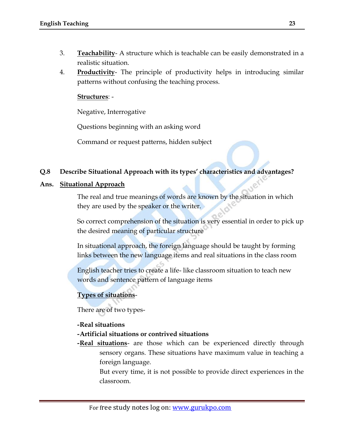- 3. **Teachability** A structure which is teachable can be easily demonstrated in a realistic situation.
- 4. **Productivity** The principle of productivity helps in introducing similar patterns without confusing the teaching process.

#### **Structures**: -

Negative, Interrogative

Questions beginning with an asking word

Command or request patterns, hidden subject

#### **Q.8 Describe Situational Approach with its types" characteristics and advantages?**

#### **Ans. Situational Approach**

The real and true meanings of words are known by the situation in which they are used by the speaker or the writer.

So correct comprehension of the situation is very essential in order to pick up the desired meaning of particular structure

In situational approach, the foreign language should be taught by forming links between the new language items and real situations in the class room

English teacher tries to create a life- like classroom situation to teach new words and sentence pattern of language items

#### **Types of situations**-

There are of two types-

#### **-Real situations**

- **-Artificial situations or contrived situations**
- **-Real situations** are those which can be experienced directly through sensory organs. These situations have maximum value in teaching a foreign language.

But every time, it is not possible to provide direct experiences in the classroom.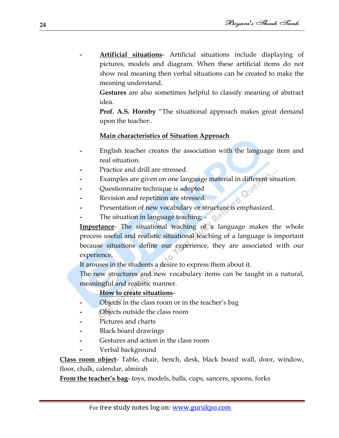**- Artificial situations**- Artificial situations include displaying of pictures, models and diagram. When these artificial items do not show real meaning then verbal situations can be created to make the meaning understand.

**Gestures** are also sometimes helpful to classify meaning of abstract idea.

**Prof. A.S. Hornby** "The situational approach makes great demand upon the teacher:.

#### **Main characteristics of Situation Approach**

- **-** English teacher creates the association with the language item and real situation.
- **-** Practice and drill are stressed.
- **-** Examples are given on one language material in different situation.
- **-** Questionnaire technique is adopted
- **-** Revision and repetition are stressed.
- **-** Presentation of new vocabulary or structure is emphasized.
- **-** The situation in language teaching: -

**Importance**- The situational teaching of a language makes the whole process useful and realistic situational teaching of a language is important because situations define our experience, they are associated with our experience.

It arouses in the students a desire to express them about it.

The new structures and new vocabulary items can be taught in a natural, meaningful and realistic manner.

#### **How to create situations**-

- **-** Objects in the class room or in the teacher"s bag
- **-** Objects outside the class room
- **-** Pictures and charts
- **-** Black board drawings
- **-** Gestures and action in the class room
- **-** Verbal background

**Class room object**- Table, chair, bench, desk, black board wall, door, window, floor, chalk, calendar, almirah

**From the teacher's bag-** toys, models, balls, cups, sancers, spoons, forks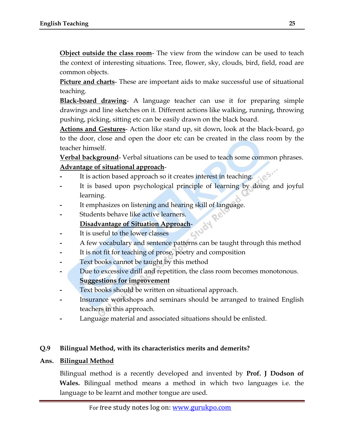**Object outside the class room**- The view from the window can be used to teach the context of interesting situations. Tree, flower, sky, clouds, bird, field, road are common objects.

**Picture and charts**- These are important aids to make successful use of situational teaching.

**Black-board drawing**- A language teacher can use it for preparing simple drawings and line sketches on it. Different actions like walking, running, throwing pushing, picking, sitting etc can be easily drawn on the black board.

**Actions and Gestures**- Action like stand up, sit down, look at the black-board, go to the door, close and open the door etc can be created in the class room by the teacher himself.

**Verbal background**- Verbal situations can be used to teach some common phrases. **Advantage of situational approach**-

- It is action based approach so it creates interest in teaching.
- **-** It is based upon psychological principle of learning by doing and joyful learning.
- **-** It emphasizes on listening and hearing skill of language.
- **-** Students behave like active learners.

#### **Disadvantage of Situation Approach**-

- **-** It is useful to the lower classes
- **-** A few vocabulary and sentence patterns can be taught through this method
- **-** It is not fit for teaching of prose, poetry and composition
- **-** Text books cannot be taught by this method
- **-** Due to excessive drill and repetition, the class room becomes monotonous. **Suggestions for improvement**
- **-** Text books should be written on situational approach.
- **-** Insurance workshops and seminars should be arranged to trained English teachers in this approach.
- **-** Language material and associated situations should be enlisted.

#### **Q.9 Bilingual Method, with its characteristics merits and demerits?**

#### **Ans. Bilingual Method**

Bilingual method is a recently developed and invented by **Prof. J Dodson of Wales.** Bilingual method means a method in which two languages i.e. the language to be learnt and mother tongue are used.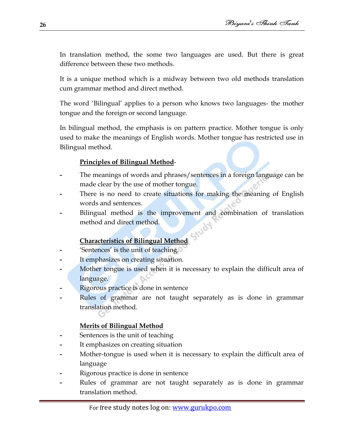In translation method, the some two languages are used. But there is great difference between these two methods.

It is a unique method which is a midway between two old methods translation cum grammar method and direct method.

The word "Bilingual" applies to a person who knows two languages- the mother tongue and the foreign or second language.

In bilingual method, the emphasis is on pattern practice. Mother tongue is only used to make the meanings of English words. Mother tongue has restricted use in Bilingual method.

#### **Principles of Bilingual Method**-

- **-** The meanings of words and phrases/sentences in a foreign language can be made clear by the use of mother tongue.
- **-** There is no need to create situations for making the meaning of English words and sentences.
- **-** Bilingual method is the improvement and combination of translation method and direct method. Study

#### **Characteristics of Bilingual Method**

- **-** "Sentences" is the unit of teaching.
- **-** It emphasizes on creating situation.
- **-** Mother tongue is used when it is necessary to explain the difficult area of language.
- **-** Rigorous practice is done in sentence
- **-** Rules of grammar are not taught separately as is done in grammar translation method.

#### **Merits of Bilingual Method**

- **-** Sentences is the unit of teaching
- **-** It emphasizes on creating situation
- **-** Mother-tongue is used when it is necessary to explain the difficult area of language
- **-** Rigorous practice is done in sentence
- **-** Rules of grammar are not taught separately as is done in grammar translation method.

**26**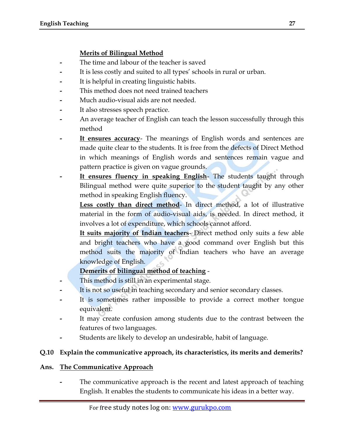#### **Merits of Bilingual Method**

- **-** The time and labour of the teacher is saved
- **-** It is less costly and suited to all types" schools in rural or urban.
- **-** It is helpful in creating linguistic habits.
- **-** This method does not need trained teachers
- **-** Much audio-visual aids are not needed.
- It also stresses speech practice.
- **-** An average teacher of English can teach the lesson successfully through this method
- **- It ensures accuracy** The meanings of English words and sentences are made quite clear to the students. It is free from the defects of Direct Method in which meanings of English words and sentences remain vague and pattern practice is given on vague grounds.
- **It ensures fluency in speaking English** The students taught through Bilingual method were quite superior to the student taught by any other method in speaking English fluency.

**Less costly than direct method**- In direct method, a lot of illustrative material in the form of audio-visual aids, is needed. In direct method, it involves a lot of expenditure, which schools cannot afford.

**It suits majority of Indian teachers**- Direct method only suits a few able and bright teachers who have a good command over English but this method suits the majority of Indian teachers who have an average knowledge of English.

#### **Demerits of bilingual method of teaching** -

- **-** This method is still in an experimental stage.
- **-** It is not so useful in teaching secondary and senior secondary classes.
- **-** It is sometimes rather impossible to provide a correct mother tongue equivalent.
- **-** It may create confusion among students due to the contrast between the features of two languages.
- **-** Students are likely to develop an undesirable, habit of language.

#### **Q.10 Explain the communicative approach, its characteristics, its merits and demerits?**

#### **Ans. The Communicative Approach**

**-** The communicative approach is the recent and latest approach of teaching English. It enables the students to communicate his ideas in a better way.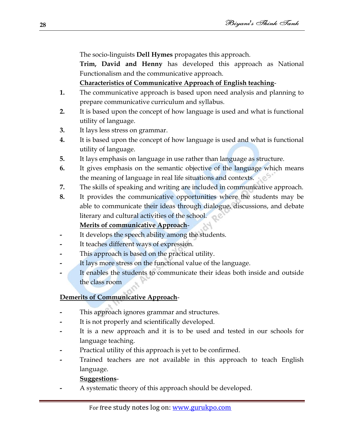The socio-linguists **Dell Hymes** propagates this approach.

**Trim, David and Henny** has developed this approach as National Functionalism and the communicative approach.

**Characteristics of Communicative Approach of English teaching**-

- **1.** The communicative approach is based upon need analysis and planning to prepare communicative curriculum and syllabus.
- **2.** It is based upon the concept of how language is used and what is functional utility of language.
- **3.** It lays less stress on grammar.
- **4.** It is based upon the concept of how language is used and what is functional utility of language.
- **5.** It lays emphasis on language in use rather than language as structure.
- **6.** It gives emphasis on the semantic objective of the language which means the meaning of language in real life situations and contexts.
- **7.** The skills of speaking and writing are included in communicative approach.
- **8.** It provides the communicative opportunities where the students may be able to communicate their ideas through dialogue, discussions, and debate literary and cultural activities of the school.

#### **Merits of communicative Approach**-

- **-** It develops the speech ability among the students.
- **-** It teaches different ways of expression.
- **-** This approach is based on the practical utility.
- **-** It lays more stress on the functional value of the language.
- **-** It enables the students to communicate their ideas both inside and outside the class room

#### **Demerits of Communicative Approach**-

- **-** This approach ignores grammar and structures.
- **-** It is not properly and scientifically developed.
- **-** It is a new approach and it is to be used and tested in our schools for language teaching.
- **-** Practical utility of this approach is yet to be confirmed.
- **-** Trained teachers are not available in this approach to teach English language.

#### **Suggestions**-

**-** A systematic theory of this approach should be developed.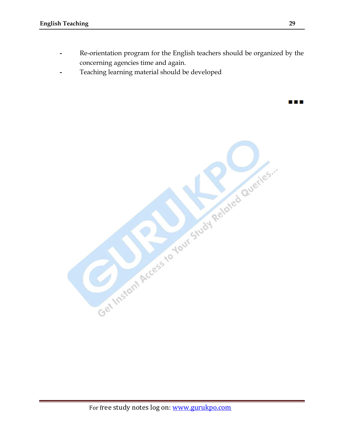- **-** Re-orientation program for the English teachers should be organized by the concerning agencies time and again.
- **-** Teaching learning material should be developed



88 E B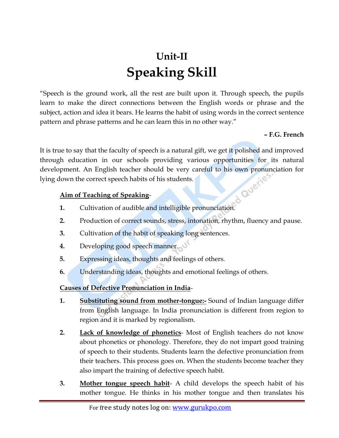## **Unit-II Speaking Skill**

"Speech is the ground work, all the rest are built upon it. Through speech, the pupils learn to make the direct connections between the English words or phrase and the subject, action and idea it bears. He learns the habit of using words in the correct sentence pattern and phrase patterns and he can learn this in no other way."

#### **– F.G. French**

It is true to say that the faculty of speech is a natural gift, we get it polished and improved through education in our schools providing various opportunities for its natural development. An English teacher should be very careful to his own pronunciation for lying down the correct speech habits of his students.

#### **Aim of Teaching of Speaking**-

- **1.** Cultivation of audible and intelligible pronunciation.
- **2.** Production of correct sounds, stress, intonation, rhythm, fluency and pause.
- **3.** Cultivation of the habit of speaking long sentences.
- **4.** Developing good speech manner.
- **5.** Expressing ideas, thoughts and feelings of others.
- **6.** Understanding ideas, thoughts and emotional feelings of others.

#### **Causes of Defective Pronunciation in India**-

- **1. Substituting sound from mother-tongue:-** Sound of Indian language differ from English language. In India pronunciation is different from region to region and it is marked by regionalism.
- **2. Lack of knowledge of phonetics** Most of English teachers do not know about phonetics or phonology. Therefore, they do not impart good training of speech to their students. Students learn the defective pronunciation from their teachers. This process goes on. When the students become teacher they also impart the training of defective speech habit.
- **3. Mother tongue speech habit** A child develops the speech habit of his mother tongue. He thinks in his mother tongue and then translates his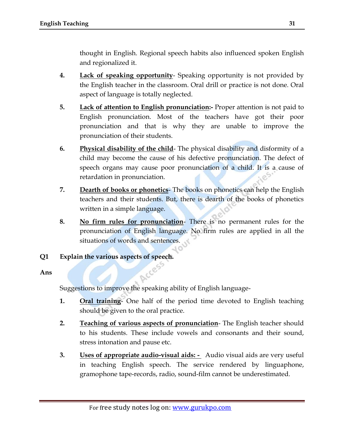thought in English. Regional speech habits also influenced spoken English and regionalized it.

- **4. Lack of speaking opportunity** Speaking opportunity is not provided by the English teacher in the classroom. Oral drill or practice is not done. Oral aspect of language is totally neglected.
- **5. Lack of attention to English pronunciation:-** Proper attention is not paid to English pronunciation. Most of the teachers have got their poor pronunciation and that is why they are unable to improve the pronunciation of their students.
- **6. Physical disability of the child** The physical disability and disformity of a child may become the cause of his defective pronunciation. The defect of speech organs may cause poor pronunciation of a child. It is a cause of retardation in pronunciation.
- **7. Dearth of books or phonetics** The books on phonetics can help the English teachers and their students. But, there is dearth of the books of phonetics written in a simple language.
- **8. No firm rules for pronunciation** There is no permanent rules for the pronunciation of English language. No firm rules are applied in all the situations of words and sentences.
- **Q1 Explain the various aspects of speech.**

**Ans**

Suggestions to improve the speaking ability of English language-

- **1. Oral training** One half of the period time devoted to English teaching should be given to the oral practice.
- **2. Teaching of various aspects of pronunciation** The English teacher should to his students. These include vowels and consonants and their sound, stress intonation and pause etc.
- **3. Uses of appropriate audio-visual aids:** Audio visual aids are very useful in teaching English speech. The service rendered by linguaphone, gramophone tape-records, radio, sound-film cannot be underestimated.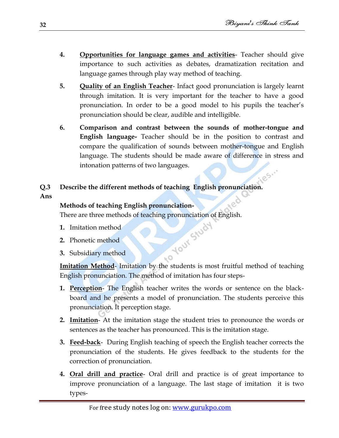- **4. Opportunities for language games and activities** Teacher should give importance to such activities as debates, dramatization recitation and language games through play way method of teaching.
- **5. Quality of an English Teacher** Infact good pronunciation is largely learnt through imitation. It is very important for the teacher to have a good pronunciation. In order to be a good model to his pupils the teacher"s pronunciation should be clear, audible and intelligible.
- **6. Comparison and contrast between the sounds of mother-tongue and English language-** Teacher should be in the position to contrast and compare the qualification of sounds between mother-tongue and English language. The students should be made aware of difference in stress and intonation patterns of two languages.
- **Q.3 Describe the different methods of teaching English pronunciation.**
- **Ans**

#### **Methods of teaching English pronunciation-**

There are three methods of teaching pronunciation of English.<br>
1. Imitation method<br>
2. Phonetic method<br>
3. Subsidiary method

- **1.** Imitation method
- **2.** Phonetic method
- **3.** Subsidiary method

Imitation Method- Imitation by the students is most fruitful method of teaching English pronunciation. The method of imitation has four steps-

 $O_{\mathcal{F}}$ 

- **1. Perception** The English teacher writes the words or sentence on the blackboard and he presents a model of pronunciation. The students perceive this pronunciation. It perception stage.
- **2. Imitation** At the imitation stage the student tries to pronounce the words or sentences as the teacher has pronounced. This is the imitation stage.
- **3. Feed-back** During English teaching of speech the English teacher corrects the pronunciation of the students. He gives feedback to the students for the correction of pronunciation.
- **4. Oral drill and practice** Oral drill and practice is of great importance to improve pronunciation of a language. The last stage of imitation it is two types-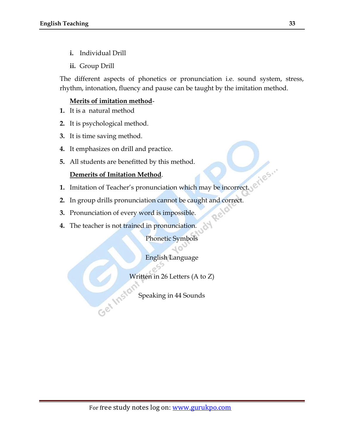- **i.** Individual Drill
- **ii.** Group Drill

The different aspects of phonetics or pronunciation i.e. sound system, stress, rhythm, intonation, fluency and pause can be taught by the imitation method.

#### **Merits of imitation method**-

- **1.** It is a natural method
- **2.** It is psychological method.
- **3.** It is time saving method.
- **4.** It emphasizes on drill and practice.
- **5.** All students are benefitted by this method.

#### **Demerits of Imitation Method**.

- **1.** Imitation of Teacher"s pronunciation which may be incorrect.
- **2.** In group drills pronunciation cannot be caught and correct.
- **3.** Pronunciation of every word is impossible.
- **4.** The teacher is not trained in pronunciation.

Phonetic Symbols

Rela

English Language

Written in 26 Letters (A to Z)<br>Speaking in 44 Sounds

Speaking in 44 Sounds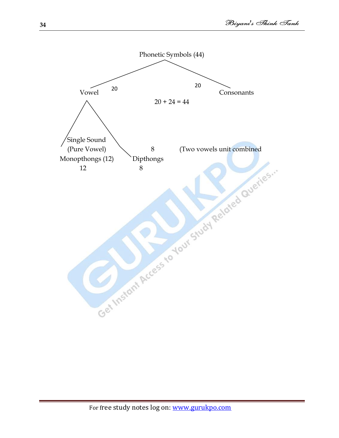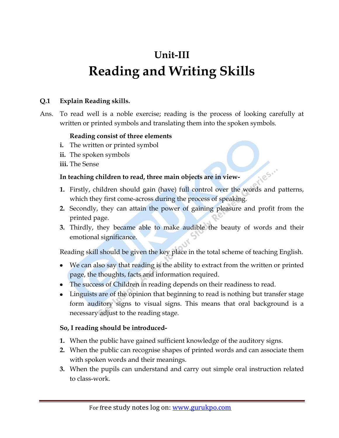## **Unit-III Reading and Writing Skills**

#### **Q.1 Explain Reading skills.**

Ans. To read well is a noble exercise; reading is the process of looking carefully at written or printed symbols and translating them into the spoken symbols.

#### **Reading consist of three elements**

- **i.** The written or printed symbol
- **ii.** The spoken symbols
- **iii.** The Sense

#### **In teaching children to read, three main objects are in view-**

**1.** Firstly, children should gain (have) full control over the words and patterns, which they first come-across during the process of speaking.

1185.

- **2.** Secondly, they can attain the power of gaining pleasure and profit from the printed page.
- **3.** Thirdly, they became able to make audible the beauty of words and their emotional significance.

Reading skill should be given the key place in the total scheme of teaching English.

- We can also say that reading is the ability to extract from the written or printed page, the thoughts, facts and information required.
- The success of Children in reading depends on their readiness to read.
- Linguists are of the opinion that beginning to read is nothing but transfer stage form auditory signs to visual signs. This means that oral background is a necessary adjust to the reading stage.

#### **So, I reading should be introduced-**

- **1.** When the public have gained sufficient knowledge of the auditory signs.
- **2.** When the public can recognise shapes of printed words and can associate them with spoken words and their meanings.
- **3.** When the pupils can understand and carry out simple oral instruction related to class-work.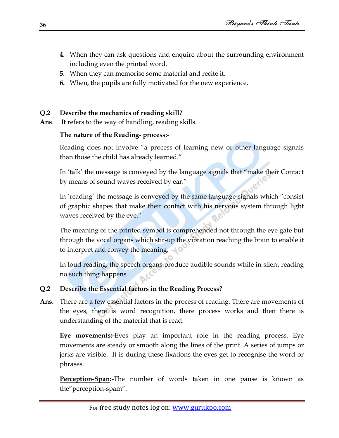- **4.** When they can ask questions and enquire about the surrounding environment including even the printed word.
- **5.** When they can memorise some material and recite it.
- **6.** When, the pupils are fully motivated for the new experience.

#### **Q.2 Describe the mechanics of reading skill?**

**Ans**. It refers to the way of handling, reading skills.

#### **The nature of the Reading- process:-**

Reading does not involve "a process of learning new or other language signals than those the child has already learned."

In 'talk' the message is conveyed by the language signals that "make their Contact" by means of sound waves received by ear."

In 'reading' the message is conveyed by the same language signals which "consist" of graphic shapes that make their contact with his nervous system through light waves received by the eye."

The meaning of the printed symbol is comprehended not through the eye gate but through the vocal organs which stir-up the vibration reaching the brain to enable it to interpret and convey the meaning.

In loud reading, the speech organs produce audible sounds while in silent reading no such thing happens.

#### **Q.2 Describe the Essential factors in the Reading Process?**

**Ans.** There are a few essential factors in the process of reading. There are movements of the eyes, there is word recognition, there process works and then there is understanding of the material that is read.

**Eye movements:-**Eyes play an important role in the reading process. Eye movements are steady or smooth along the lines of the print. A series of jumps or jerks are visible. It is during these fixations the eyes get to recognise the word or phrases.

**Perception-Span:-**The number of words taken in one pause is known as the"perception-spam".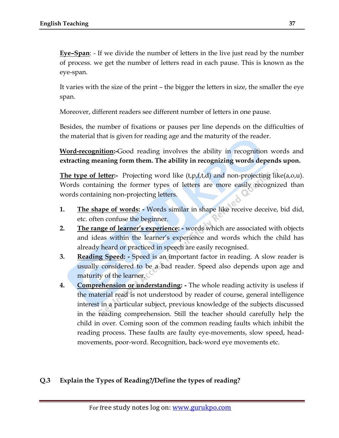**Eye–Span**: - If we divide the number of letters in the live just read by the number of process. we get the number of letters read in each pause. This is known as the eye-span.

It varies with the size of the print – the bigger the letters in size, the smaller the eye span.

Moreover, different readers see different number of letters in one pause.

Besides, the number of fixations or pauses per line depends on the difficulties of the material that is given for reading age and the maturity of the reader.

**Word-recognition:-**Good reading involves the ability in recognition words and **extracting meaning form them. The ability in recognizing words depends upon.**

**The type of letter:-** Projecting word like (t,p,f,t,d) and non-projecting like(a,o,u). Words containing the former types of letters are more easily recognized than words containing non-projecting letters.

- **1. The shape of words: -** Words similar in shape like receive deceive, bid did, etc. often confuse the beginner.
- **2. The range of learner"s experience: -** words which are associated with objects and ideas within the learner"s experience and words which the child has already heard or practiced in speech are easily recognised.
- **3. Reading Speed: -** Speed is an important factor in reading. A slow reader is usually considered to be a bad reader. Speed also depends upon age and maturity of the learner.
- **4. Comprehension or understanding: -** The whole reading activity is useless if the material read is not understood by reader of course, general intelligence interest in a particular subject, previous knowledge of the subjects discussed in the reading comprehension. Still the teacher should carefully help the child in over. Coming soon of the common reading faults which inhibit the reading process. These faults are faulty eye-movements, slow speed, headmovements, poor-word. Recognition, back-word eye movements etc.

### **Q.3 Explain the Types of Reading?/Define the types of reading?**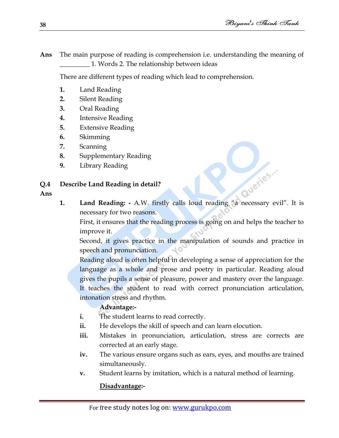Queries...

**Ans** The main purpose of reading is comprehension i.e. understanding the meaning of \_\_\_\_\_\_\_\_\_ 1. Words 2. The relationship between ideas

There are different types of reading which lead to comprehension.

- **1.** Land Reading
- **2.** Silent Reading
- **3.** Oral Reading
- **4.** Intensive Reading
- **5.** Extensive Reading
- **6.** Skimming
- **7.** Scanning
- **8.** Supplementary Reading
- **9.** Library Reading

**Q.4 Describe Land Reading in detail?**

- **Ans**
- **1. Land Reading: -** A.W. firstly calls loud reading "a necessary evil". It is necessary for two reasons.

First, it ensures that the reading process is going on and helps the teacher to improve it.

Second, it gives practice in the manipulation of sounds and practice in speech and pronunciation. 10

Reading aloud is often helpful in developing a sense of appreciation for the language as a whole and prose and poetry in particular. Reading aloud gives the pupils a sense of pleasure, power and mastery over the language. It teaches the student to read with correct pronunciation articulation, intonation stress and rhythm.

# **Advantage:-**

- **i.** The student learns to read correctly.
- **ii.** He develops the skill of speech and can learn elocution.
- iii. Mistakes in pronunciation, articulation, stress are corrects are corrected at an early stage.
- **iv.** The various ensure organs such as ears, eyes, and mouths are trained simultaneously.
- **v.** Student learns by imitation, which is a natural method of learning.

# **Disadvantage:-**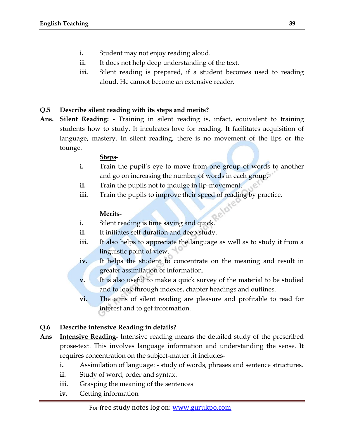- **i.** Student may not enjoy reading aloud.
- **ii.** It does not help deep understanding of the text.
- iii. Silent reading is prepared, if a student becomes used to reading aloud. He cannot become an extensive reader.

#### **Q.5 Describe silent reading with its steps and merits?**

**Ans. Silent Reading: -** Training in silent reading is, infact, equivalent to training students how to study. It inculcates love for reading. It facilitates acquisition of language, mastery. In silent reading, there is no movement of the lips or the tounge.

#### **Steps-**

- **i.** Train the pupil's eye to move from one group of words to another and go on increasing the number of words in each group.
- **ii.** Train the pupils not to indulge in lip-movement.
- iii. Train the pupils to improve their speed of reading by practice.

#### **Merits-**

- **i.** Silent reading is time saving and quick.
- ii. It initiates self duration and deep study.
- iii. It also helps to appreciate the language as well as to study it from a linguistic point of view.
- **iv.** It helps the student to concentrate on the meaning and result in greater assimilation of information.
- **v.** It is also useful to make a quick survey of the material to be studied and to look through indexes, chapter headings and outlines.
- **vi.** The aims of silent reading are pleasure and profitable to read for interest and to get information.

### **Q.6 Describe intensive Reading in details?**

- **Ans Intensive Reading-** Intensive reading means the detailed study of the prescribed prose-text. This involves language information and understanding the sense. It requires concentration on the subject-matter .it includes
	- **i.** Assimilation of language: study of words, phrases and sentence structures.
	- **ii.** Study of word, order and syntax.
	- iii. Grasping the meaning of the sentences
	- **iv.** Getting information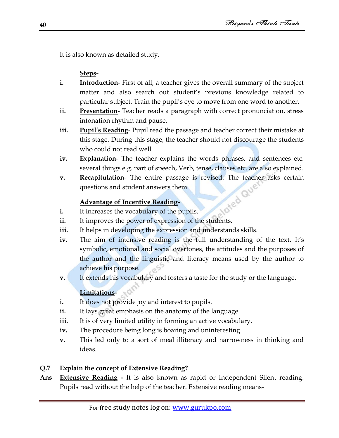It is also known as detailed study.

**Steps-**

- **i.** Introduction- First of all, a teacher gives the overall summary of the subject matter and also search out student"s previous knowledge related to particular subject. Train the pupil"s eye to move from one word to another.
- **ii.** Presentation-Teacher reads a paragraph with correct pronunciation, stress intonation rhythm and pause.
- **iii.** Pupil's Reading-Pupil read the passage and teacher correct their mistake at this stage. During this stage, the teacher should not discourage the students who could not read well.
- **iv. Explanation** The teacher explains the words phrases, and sentences etc. several things e.g. part of speech, Verb, tense, clauses etc. are also explained.
- **v. Recapitulation** The entire passage is revised. The teacher asks certain questions and student answers them.<br> **Advantage of Incentive Reading-**<br> **i.** It increases the section of the section of the section of the sect questions and student answers them.

# **Advantage of Incentive Reading-**

- **i.** It increases the vocabulary of the pupils.
- **ii.** It improves the power of expression of the students.
- iii. It helps in developing the expression and understands skills.
- iv. The aim of intensive reading is the full understanding of the text. It's symbolic, emotional and social overtones, the attitudes and the purposes of the author and the linguistic and literacy means used by the author to achieve his purpose.
- **v.** It extends his vocabulary and fosters a taste for the study or the language.

# **Limitations-**

- **i.** It does not provide joy and interest to pupils.
- ii. It lays great emphasis on the anatomy of the language.
- iii. It is of very limited utility in forming an active vocabulary.
- **iv.** The procedure being long is boaring and uninteresting.
- **v.** This led only to a sort of meal illiteracy and narrowness in thinking and ideas.

# **Q.7 Explain the concept of Extensive Reading?**

**Ans Extensive Reading -** It is also known as rapid or Independent Silent reading. Pupils read without the help of the teacher. Extensive reading means-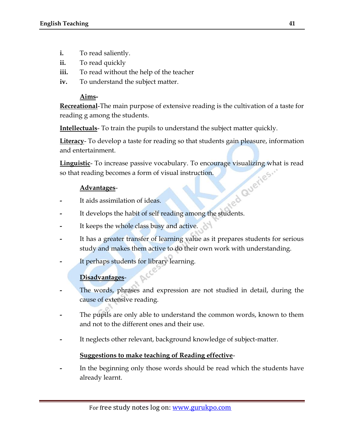- **i.** To read saliently.
- **ii.** To read quickly
- **iii.** To read without the help of the teacher
- **iv.** To understand the subject matter.

#### **Aims-**

**Recreational**-The main purpose of extensive reading is the cultivation of a taste for reading g among the students.

**Intellectuals**- To train the pupils to understand the subject matter quickly.

**Literacy**- To develop a taste for reading so that students gain pleasure, information and entertainment.

**Linguistic**- To increase passive vocabulary. To encourage visualizing what is read<br>so that reading becomes a form of visual instruction.<br>Advantages-<br>It aids assimilation of : so that reading becomes a form of visual instruction.

#### **Advantages**-

- **-** It aids assimilation of ideas.
- **-** It develops the habit of self reading among the students.
- It keeps the whole class busy and active.
- **-** It has a greater transfer of learning value as it prepares students for serious study and makes them active to do their own work with understanding.
- It perhaps students for library learning.

# **Disadvantages**-

- **-** The words, phrases and expression are not studied in detail, during the cause of extensive reading.
- **-** The pupils are only able to understand the common words, known to them and not to the different ones and their use.
- **-** It neglects other relevant, background knowledge of subject-matter.

### **Suggestions to make teaching of Reading effective**-

**-** In the beginning only those words should be read which the students have already learnt.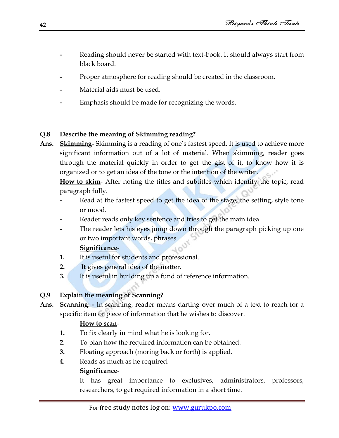- **-** Reading should never be started with text-book. It should always start from black board.
- **-** Proper atmosphere for reading should be created in the classroom.
- **-** Material aids must be used.
- **-** Emphasis should be made for recognizing the words.

# **Q.8 Describe the meaning of Skimming reading?**

**Ans. Skimming-** Skimming is a reading of one"s fastest speed. It is used to achieve more significant information out of a lot of material. When skimming, reader goes through the material quickly in order to get the gist of it, to know how it is organized or to get an idea of the tone or the intention of the writer.

**How to skim**- After noting the titles and subtitles which identify the topic, read paragraph fully.

- **-** Read at the fastest speed to get the idea of the stage, the setting, style tone or mood.
- **-** Reader reads only key sentence and tries to get the main idea.
- **-** The reader lets his eyes jump down through the paragraph picking up one or two important words, phrases.

### **Significance**-

- **1.** It is useful for students and professional.
- **2.** It gives general idea of the matter.
- **3.** It is useful in building up a fund of reference information.

# **Q.9 Explain the meaning of Scanning?**

**Ans. Scanning: -** In scanning, reader means darting over much of a text to reach for a specific item or piece of information that he wishes to discover.

# **How to scan**-

- **1.** To fix clearly in mind what he is looking for.
- **2.** To plan how the required information can be obtained.
- **3.** Floating approach (moring back or forth) is applied.
- **4.** Reads as much as he required.

# **Significance**-

It has great importance to exclusives, administrators, professors, researchers, to get required information in a short time.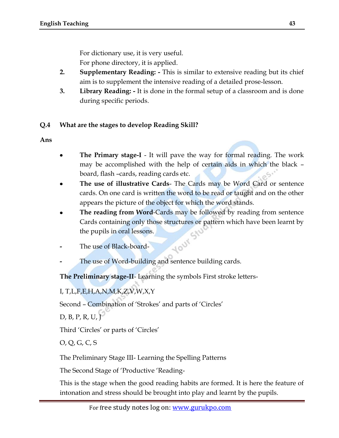For dictionary use, it is very useful.

For phone directory, it is applied.

- **2. Supplementary Reading: -** This is similar to extensive reading but its chief aim is to supplement the intensive reading of a detailed prose-lesson.
- **3. Library Reading: -** It is done in the formal setup of a classroom and is done during specific periods.

# **Q.4 What are the stages to develop Reading Skill?**

**Ans**

- **The Primary stage-I** It will pave the way for formal reading. The work may be accomplished with the help of certain aids in which the black – board, flash –cards, reading cards etc.
- **The use of illustrative Cards** The Cards may be Word Card or sentence cards. On one card is written the word to be read or taught and on the other appears the picture of the object for which the word stands.
- **The reading from Word**-Cards may be followed by reading from sentence Cards containing only those structures or pattern which have been learnt by Your Str the pupils in oral lessons.
- **-** The use of Black-board-
- **-** The use of Word-building and sentence building cards.

**The Preliminary stage-II**- Learning the symbols First stroke letters-

# I, T,L,F,E,H,A,N,M,K,Z,V,W,X,Y

Second – Combination of 'Strokes' and parts of 'Circles'

D, B, P, R, U, J

Third 'Circles' or parts of 'Circles'

O, Q, G, C, S

The Preliminary Stage III- Learning the Spelling Patterns

The Second Stage of "Productive "Reading-

This is the stage when the good reading habits are formed. It is here the feature of intonation and stress should be brought into play and learnt by the pupils.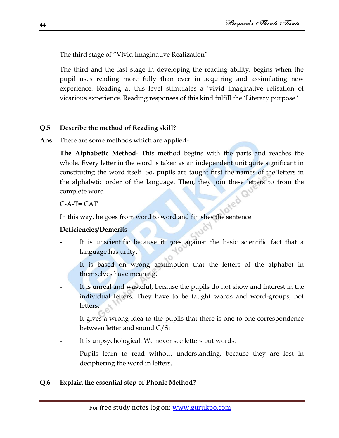The third stage of "Vivid Imaginative Realization"-

The third and the last stage in developing the reading ability, begins when the pupil uses reading more fully than ever in acquiring and assimilating new experience. Reading at this level stimulates a "vivid imaginative relisation of vicarious experience. Reading responses of this kind fulfill the "Literary purpose."

# **Q.5 Describe the method of Reading skill?**

**Ans** There are some methods which are applied-

**The Alphabetic Method**- This method begins with the parts and reaches the whole. Every letter in the word is taken as an independent unit quite significant in constituting the word itself. So, pupils are taught first the names of the letters in the alphabetic order of the language. Then, they join these letters to from the complete word.

C-A-T= CAT

In this way, he goes from word to word and finishes the sentence.

### **Deficiencies/Demerits**

- **-** It is unscientific because it goes against the basic scientific fact that a language has unity.
- It is based on wrong assumption that the letters of the alphabet in themselves have meaning.
- **-** It is unreal and wasteful, because the pupils do not show and interest in the individual letters. They have to be taught words and word-groups, not letters.
- **-** It gives a wrong idea to the pupils that there is one to one correspondence between letter and sound C/Si
- **-** It is unpsychological. We never see letters but words.
- **-** Pupils learn to read without understanding, because they are lost in deciphering the word in letters.

# **Q.6 Explain the essential step of Phonic Method?**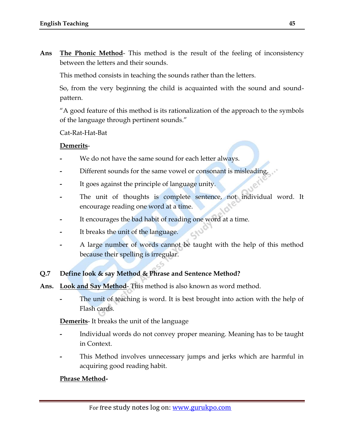**Ans The Phonic Method**- This method is the result of the feeling of inconsistency between the letters and their sounds.

This method consists in teaching the sounds rather than the letters.

So, from the very beginning the child is acquainted with the sound and soundpattern.

"A good feature of this method is its rationalization of the approach to the symbols of the language through pertinent sounds."

Cat-Rat-Hat-Bat

#### **Demerits**-

- **-** We do not have the same sound for each letter always.
- **-** Different sounds for the same vowel or consonant is misleading.
- **-** It goes against the principle of language unity.
- **-** The unit of thoughts is complete sentence, not individual word. It encourage reading one word at a time.
- **-** It encourages the bad habit of reading one word at a time.
- **-** It breaks the unit of the language.
- **-** A large number of words cannot be taught with the help of this method because their spelling is irregular.

#### **Q.7 Define look & say Method & Phrase and Sentence Method?**

- **Ans. Look and Say Method** This method is also known as word method.
	- **-** The unit of teaching is word. It is best brought into action with the help of Flash cards.

**Demerits**- It breaks the unit of the language

- **-** Individual words do not convey proper meaning. Meaning has to be taught in Context.
- **-** This Method involves unnecessary jumps and jerks which are harmful in acquiring good reading habit.

#### **Phrase Method-**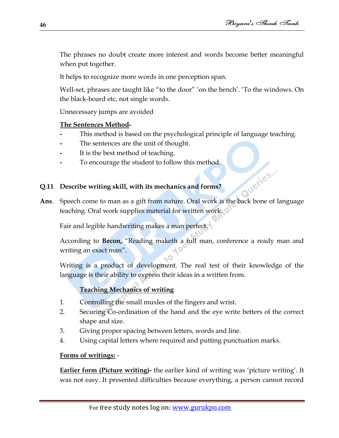The phrases no doubt create more interest and words become better meaningful when put together.

It helps to recognize more words in one perception span.

Well-set, phrases are taught like "to the door" 'on the bench'. 'To the windows. On the black-board etc, not single words.

Unnecessary jumps are avoided

### **The Sentences Method-**

- **-** This method is based on the psychological principle of language teaching.
- **-** The sentences are the unit of thought.
- **-** It is the best method of teaching.
- **-** To encourage the student to follow this method.

### **Q.11 Describe writing skill, with its mechanics and forms?**

**Ans.** Speech come to man as a gift from nature. Oral work is the back bone of language teaching. Oral work supplies material for written work.

Fair and legible handwriting makes a man perfect.

According to **Becon,** "Reading maketh a full man, conference a ready man and writing an exact man".

Writing is a product of development. The real test of their knowledge of the language is their ability to express their ideas in a written from.

# **Teaching Mechanics of writing**

- 1. Controlling the small muxles of the fingers and wrist.
- 2. Securing Co-ordination of the hand and the eye write betters of the correct shape and size.
- 3. Giving proper spacing between letters, words and line.
- 4. Using capital letters where required and putting punctuation marks.

### **Forms of writings:** -

**Earlier form (Picture writing)-** the earlier kind of writing was 'picture writing'. It was not easy. It presented difficulties because everything, a person cannot record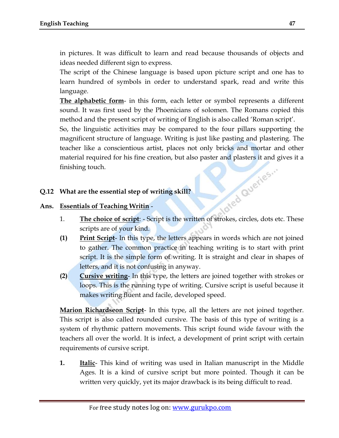in pictures. It was difficult to learn and read because thousands of objects and ideas needed different sign to express.

The script of the Chinese language is based upon picture script and one has to learn hundred of symbols in order to understand spark, read and write this language.

**The alphabetic form**- in this form, each letter or symbol represents a different sound. It was first used by the Phoenicians of solomen. The Romans copied this method and the present script of writing of English is also called "Roman script".

So, the linguistic activities may be compared to the four pillars supporting the magnificent structure of language. Writing is just like pasting and plastering. The teacher like a conscientious artist, places not only bricks and mortar and other material required for his fine creation, but also paster and plasters it and gives it a<br>finishing touch.<br>What are the essential step of writing skill?<br>Essentials of Teaching  $\cdots$ finishing touch.

#### **Q.12 What are the essential step of writing skill?**

#### **Ans. Essentials of Teaching Writin** -

- 1. **The choice of script**: Script is the written of strokes, circles, dots etc. These scripts are of your kind.
- **(1) Print Script** In this type, the letters appears in words which are not joined to gather. The common practice in teaching writing is to start with print script. It is the simple form of writing. It is straight and clear in shapes of letters, and it is not confusing in anyway.
- **(2) Cursive writing** In this type, the letters are joined together with strokes or loops. This is the running type of writing. Cursive script is useful because it makes writing fluent and facile, developed speed.

**Marion Richardseon Script**- In this type, all the letters are not joined together. This script is also called rounded cursive. The basis of this type of writing is a system of rhythmic pattern movements. This script found wide favour with the teachers all over the world. It is infect, a development of print script with certain requirements of cursive script.

**1. Italic**- This kind of writing was used in Italian manuscript in the Middle Ages. It is a kind of cursive script but more pointed. Though it can be written very quickly, yet its major drawback is its being difficult to read.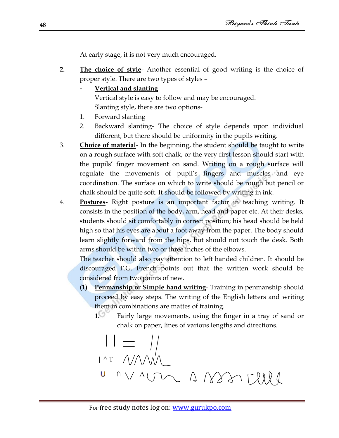At early stage, it is not very much encouraged.

- **2. The choice of style** Another essential of good writing is the choice of proper style. There are two types of styles –
	- **- Vertical and slanting**

Vertical style is easy to follow and may be encouraged. Slanting style, there are two options-

- 1. Forward slanting
- 2. Backward slanting- The choice of style depends upon individual different, but there should be uniformity in the pupils writing.
- 3. **Choice of material** In the beginning, the student should be taught to write on a rough surface with soft chalk, or the very first lesson should start with the pupils" finger movement on sand. Writing on a rough surface will regulate the movements of pupil"s fingers and muscles and eye coordination. The surface on which to write should be rough but pencil or chalk should be quite soft. It should be followed by writing in ink.
- 4. **Postures** Right posture is an important factor in teaching writing. It consists in the position of the body, arm, head and paper etc. At their desks, students should sit comfortably in correct position; his head should be held high so that his eyes are about a foot away from the paper. The body should learn slightly forward from the hips, but should not touch the desk. Both arms should be within two or three inches of the elbows.

The teacher should also pay attention to left handed children. It should be discouraged F.G. French points out that the written work should be considered from two points of new.

- **(1) Penmanship or Simple hand writing** Training in penmanship should proceed by easy steps. The writing of the English letters and writing them in combinations are mattes of training.
	- **1.** Fairly large movements, using the finger in a tray of sand or chalk on paper, lines of various lengths and directions.

$$
\begin{array}{c}\n\left|\right|_{1} = \frac{1}{2} \\
\left|\right|_{1} = \frac{1}{2} \\
\left|\right|_{1} = \frac{1}{2} \\
\left|\right|_{1} = \frac{1}{2} \\
\left|\right|_{1} = \frac{1}{2} \\
\left|\right|_{1} = \frac{1}{2} \\
\left|\right|_{1} = \frac{1}{2} \\
\left|\right|_{1} = \frac{1}{2} \\
\left|\right|_{1} = \frac{1}{2} \\
\left|\right|_{1} = \frac{1}{2} \\
\left|\right|_{1} = \frac{1}{2} \\
\left|\right|_{1} = \frac{1}{2} \\
\left|\right|_{1} = \frac{1}{2} \\
\left|\right|_{1} = \frac{1}{2} \\
\left|\right|_{1} = \frac{1}{2} \\
\left|\right|_{1} = \frac{1}{2} \\
\left|\right|_{1} = \frac{1}{2} \\
\left|\right|_{1} = \frac{1}{2} \\
\left|\right|_{1} = \frac{1}{2} \\
\left|\right|_{1} = \frac{1}{2} \\
\left|\right|_{1} = \frac{1}{2} \\
\left|\right|_{1} = \frac{1}{2} \\
\left|\right|_{1} = \frac{1}{2} \\
\left|\right|_{1} = \frac{1}{2} \\
\left|\right|_{1} = \frac{1}{2} \\
\left|\right|_{1} = \frac{1}{2} \\
\left|\right|_{1} = \frac{1}{2} \\
\left|\right|_{1} = \frac{1}{2} \\
\left|\right|_{1} = \frac{1}{2} \\
\left|\right|_{1} = \frac{1}{2} \\
\left|\right|_{1} = \frac{1}{2} \\
\left|\right|_{1} = \frac{1}{2} \\
\left|\right|_{1} = \frac{1}{2} \\
\left|\right|_{1} = \frac{1}{2} \\
\left|\right|_{1} = \frac{1}{2} \\
\left|\right|_{1} = \frac{1}{2} \\
\left|\right|_{1} = \frac{1}{2} \\
\left|\right|_{1} = \frac{1}{2} \\
\left|\right|_{1} = \frac{1}{2} \\
\left|\right|_{1} = \frac{1}{2} \\
\left|\right|_{1} = \frac{1}{2} \\
\left|\right|_{1} = \frac{1}{2} \\
\left|\right|_{1} = \frac{1}{2} \\
\left|\right|_{1} = \frac{1}{2} \\
\left|\right
$$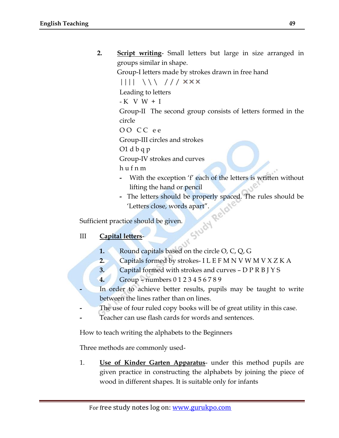**2. Script writing**- Small letters but large in size arranged in groups similar in shape.

Group-I letters made by strokes drawn in free hand

 $|||||$   $\wedge$   $\wedge$  ///  $\times$   $\times$   $\times$ 

Leading to letters

 $-K$  V W  $+$  I

Group-II The second group consists of letters formed in the circle

O O C C e e

Group-III circles and strokes

O1 d b q p

Group-IV strokes and curves

h u f n m

- **-** With the exception "f" each of the letters is written without lifting the hand or pencil
- Fig. 2.1 The letters should be properly spaced. The rules should be <br>
Tetters close, words apart".<br>
Letters should be given.<br>
<u>I letters</u> "Letters close, words apart".

Sufficient practice should be given.

# III **Capital letters**-

- **1.** Round capitals based on the circle O, C, Q, G
- **2.** Capitals formed by strokes- I L E F M N V W M V X Z K A
- **3.** Capital formed with strokes and curves D P R B J Y S
- **4.** Group numbers 0 1 2 3 4 5 6 7 8 9
- **-** In order to achieve better results, pupils may be taught to write between the lines rather than on lines.
- **-** The use of four ruled copy books will be of great utility in this case.
- **-** Teacher can use flash cards for words and sentences.

How to teach writing the alphabets to the Beginners

Three methods are commonly used-

1. **Use of Kinder Garten Apparatus**- under this method pupils are given practice in constructing the alphabets by joining the piece of wood in different shapes. It is suitable only for infants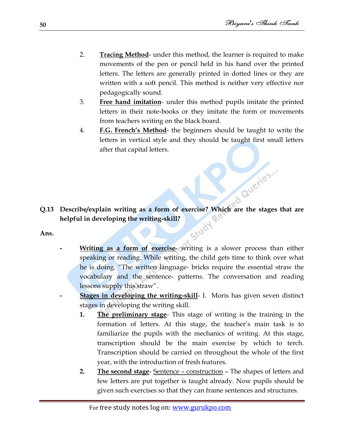ed Queries...

- 2. **Tracing Method** under this method, the learner is required to make movements of the pen or pencil held in his hand over the printed letters. The letters are generally printed in dotted lines or they are written with a soft pencil. This method is neither very effective nor pedagogically sound.
- 3. **Free hand imitation** under this method pupils imitate the printed letters in their note-books or they imitate the form or movements from teachers writing on the black board.
- 4. **F.G. French"s Method** the beginners should be taught to write the letters in vertical style and they should be taught first small letters after that capital letters.

**Q.13 Describe/explain writing as a form of exercise? Which are the stages that are helpful in developing the writing-skill?** Study

**Ans.** 

- **Writing as a form of exercise** writing is a slower process than either speaking or reading. While writing, the child gets time to think over what he is doing. "The written language- bricks require the essential straw the vocabulary and the sentence- patterns. The conversation and reading lessons supply this straw".
- **- Stages in developing the writing-skill** I. Moris has given seven distinct stages in developing the writing skill.
	- **1. The preliminary stage** This stage of writing is the training in the formation of letters. At this stage, the teacher"s main task is to familiarize the pupils with the mechanics of writing. At this stage, transcription should be the main exercise by which to terch. Transcription should be carried on throughout the whole of the first year, with the introduction of fresh features.
	- **2. The second stage** Sentence construction The shapes of letters and few letters are put together is taught already. Now pupils should be given such exercises so that they can frame sentences and structures.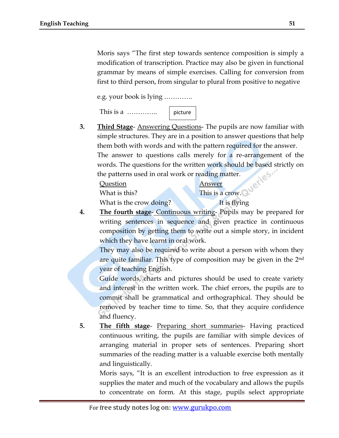Moris says "The first step towards sentence composition is simply a modification of transcription. Practice may also be given in functional grammar by means of simple exercises. Calling for conversion from first to third person, from singular to plural from positive to negative

e.g. your book is lying ………….



**3. Third Stage**- Answering Questions- The pupils are now familiar with simple structures. They are in a position to answer questions that help them both with words and with the pattern required for the answer. The answer to questions calls merely for a re-arrangement of the words. The questions for the written work should be based strictly on the patterns used in oral work or reading matter. e

Question Answer What is this? This is a crow.

What is the crow doing? It is flying

**4. The fourth stage**- Continuous writing- Pupils may be prepared for writing sentences in sequence and given practice in continuous composition by getting them to write out a simple story, in incident which they have learnt in oral work.

They may also be required to write about a person with whom they are quite familiar. This type of composition may be given in the 2nd year of teaching English.

Guide words, charts and pictures should be used to create variety and interest in the written work. The chief errors, the pupils are to commit shall be grammatical and orthographical. They should be removed by teacher time to time. So, that they acquire confidence and fluency.

**5. The fifth stage**- Preparing short summaries- Having practiced continuous writing, the pupils are familiar with simple devices of arranging material in proper sets of sentences. Preparing short summaries of the reading matter is a valuable exercise both mentally and linguistically.

Moris says, "It is an excellent introduction to free expression as it supplies the mater and much of the vocabulary and allows the pupils to concentrate on form. At this stage, pupils select appropriate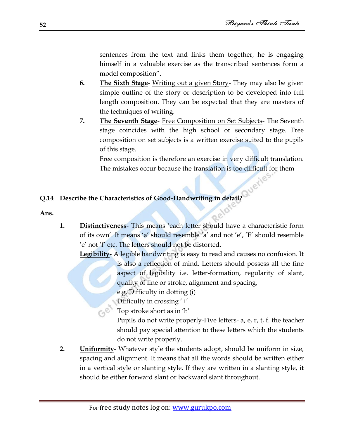sentences from the text and links them together, he is engaging himself in a valuable exercise as the transcribed sentences form a model composition".

- **6. The Sixth Stage** Writing out a given Story- They may also be given simple outline of the story or description to be developed into full length composition. They can be expected that they are masters of the techniques of writing.
- **7. The Seventh Stage** Free Composition on Set Subjects- The Seventh stage coincides with the high school or secondary stage. Free composition on set subjects is a written exercise suited to the pupils of this stage.

Free composition is therefore an exercise in very difficult translation. The mistakes occur because the translation is too difficult for them

#### **Q.14 Describe the Characteristics of Good-Handwriting in detail?**

**Ans.**

**1. Distinctiveness**- This means "each letter should have a characteristic form of its own'. It means 'a' should resemble 'a' and not 'e', 'E' should resemble 'e' not 'f' etc. The letters should not be distorted.

**Legibility**- A legible handwriting is easy to read and causes no confusion. It

is also a reflection of mind. Letters should possess all the fine aspect of legibility i.e. letter-formation, regularity of slant, quality of line or stroke, alignment and spacing,

e.g. Difficulty in dotting (i)

Difficulty in crossing  $'+$ 

Top stroke short as in 'h'

Pupils do not write properly-Five letters- a, e, r, t, f. the teacher should pay special attention to these letters which the students do not write properly.

**2. Uniformity**- Whatever style the students adopt, should be uniform in size, spacing and alignment. It means that all the words should be written either in a vertical style or slanting style. If they are written in a slanting style, it should be either forward slant or backward slant throughout.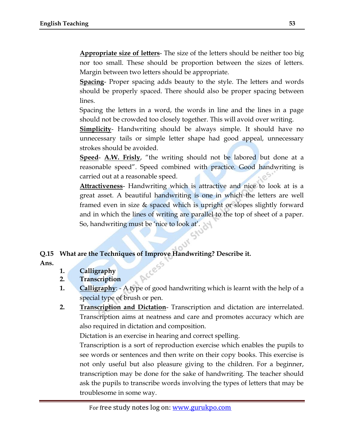**Appropriate size of letters**- The size of the letters should be neither too big nor too small. These should be proportion between the sizes of letters. Margin between two letters should be appropriate.

**Spacing**- Proper spacing adds beauty to the style. The letters and words should be properly spaced. There should also be proper spacing between lines.

Spacing the letters in a word, the words in line and the lines in a page should not be crowded too closely together. This will avoid over writing.

**Simplicity**- Handwriting should be always simple. It should have no unnecessary tails or simple letter shape had good appeal, unnecessary strokes should be avoided.

**Speed**- **A.W. Frisly**, "the writing should not be labored but done at a reasonable speed". Speed combined with practice. Good handwriting is carried out at a reasonable speed.

**Attractiveness**- Handwriting which is attractive and nice to look at is a great asset. A beautiful handwriting is one in which the letters are well framed even in size & spaced which is upright or slopes slightly forward and in which the lines of writing are parallel to the top of sheet of a paper. So, handwriting must be 'nice to look at'.

**Q.15 What are the Techniques of Improve Handwriting? Describe it.**

**Ans.**

- **1. Calligraphy**
- **2. Transcription**
- **1. Calligraphy**: A type of good handwriting which is learnt with the help of a special type of brush or pen.
- **2. Transcription and Dictation** Transcription and dictation are interrelated. Transcription aims at neatness and care and promotes accuracy which are also required in dictation and composition.

Dictation is an exercise in hearing and correct spelling.

Transcription is a sort of reproduction exercise which enables the pupils to see words or sentences and then write on their copy books. This exercise is not only useful but also pleasure giving to the children. For a beginner, transcription may be done for the sake of handwriting. The teacher should ask the pupils to transcribe words involving the types of letters that may be troublesome in some way.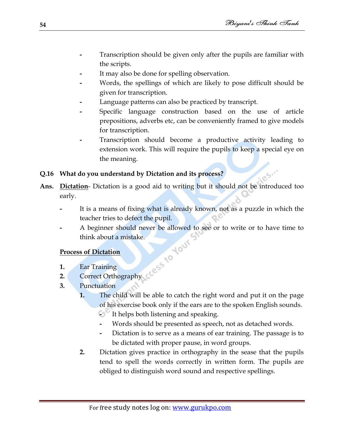- **-** Transcription should be given only after the pupils are familiar with the scripts.
- It may also be done for spelling observation.
- **-** Words, the spellings of which are likely to pose difficult should be given for transcription.
- **-** Language patterns can also be practiced by transcript.
- **-** Specific language construction based on the use of article prepositions, adverbs etc, can be conveniently framed to give models for transcription.
- **-** Transcription should become a productive activity leading to extension work. This will require the pupils to keep a special eye on the meaning.

### **Q.16 What do you understand by Dictation and its process?**

- **Ans. Dictation** Dictation is a good aid to writing but it should not be introduced too early.
	- **-** It is a means of fixing what is already known, not as a puzzle in which the teacher tries to defect the pupil.
	- **-** A beginner should never be allowed to see or to write or to have time to think about a mistake.

### **Process of Dictation**

- **1.** Ear Training
- **2.** Correct Orthography
- **3.** Punctuation
	- **1.** The child will be able to catch the right word and put it on the page of his exercise book only if the ears are to the spoken English sounds.
		- **-** It helps both listening and speaking.
		- **-** Words should be presented as speech, not as detached words.
		- **-** Dictation is to serve as a means of ear training. The passage is to be dictated with proper pause, in word groups.
	- **2.** Dictation gives practice in orthography in the sease that the pupils tend to spell the words correctly in written form. The pupils are obliged to distinguish word sound and respective spellings.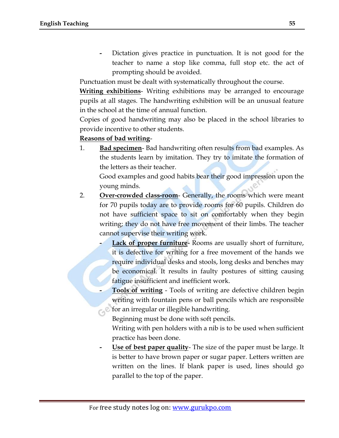**-** Dictation gives practice in punctuation. It is not good for the teacher to name a stop like comma, full stop etc. the act of prompting should be avoided.

Punctuation must be dealt with systematically throughout the course.

**Writing exhibitions**- Writing exhibitions may be arranged to encourage pupils at all stages. The handwriting exhibition will be an unusual feature in the school at the time of annual function.

Copies of good handwriting may also be placed in the school libraries to provide incentive to other students.

#### **Reasons of bad writing**-

1. **Bad specimen**- Bad handwriting often results from bad examples. As the students learn by imitation. They try to imitate the formation of the letters as their teacher.

Good examples and good habits bear their good impression upon the young minds.

- 2. **Over-crowded class-room** Generally, the rooms which were meant for 70 pupils today are to provide rooms for 60 pupils. Children do not have sufficient space to sit on comfortably when they begin writing; they do not have free movement of their limbs. The teacher cannot supervise their writing work.
	- **Lack of proper furniture** Rooms are usually short of furniture, it is defective for writing for a free movement of the hands we require individual desks and stools, long desks and benches may be economical. It results in faulty postures of sitting causing fatigue insufficient and inefficient work.
	- **- Tools of writing** Tools of writing are defective children begin writing with fountain pens or ball pencils which are responsible for an irregular or illegible handwriting.

Beginning must be done with soft pencils.

Writing with pen holders with a nib is to be used when sufficient practice has been done.

**- Use of best paper quality**- The size of the paper must be large. It is better to have brown paper or sugar paper. Letters written are written on the lines. If blank paper is used, lines should go parallel to the top of the paper.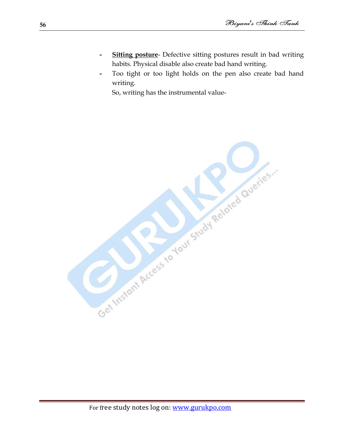- **Sitting posture** Defective sitting postures result in bad writing habits. Physical disable also create bad hand writing.
- **-** Too tight or too light holds on the pen also create bad hand writing.

So, writing has the instrumental value-

Get Instant Access for Jour Study Related Queries.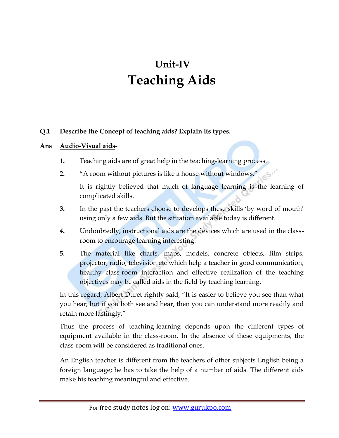# **Unit-IV Teaching Aids**

#### **Q.1 Describe the Concept of teaching aids? Explain its types.**

#### **Ans Audio-Visual aids-**

- **1.** Teaching aids are of great help in the teaching-learning process.
- **2.** "A room without pictures is like a house without windows."

It is rightly believed that much of language learning is the learning of complicated skills.

- **3.** In the past the teachers choose to develops these skills 'by word of mouth' using only a few aids. But the situation available today is different.
- **4.** Undoubtedly, instructional aids are the devices which are used in the classroom to encourage learning interesting.
- **5.** The material like charts, maps, models, concrete objects, film strips, projector, radio, television etc which help a teacher in good communication, healthy class-room interaction and effective realization of the teaching objectives may be called aids in the field by teaching learning.

In this regard, Albert Duret rightly said, "It is easier to believe you see than what you hear; but if you both see and hear, then you can understand more readily and retain more lastingly."

Thus the process of teaching-learning depends upon the different types of equipment available in the class-room. In the absence of these equipments, the class-room will be considered as traditional ones.

An English teacher is different from the teachers of other subjects English being a foreign language; he has to take the help of a number of aids. The different aids make his teaching meaningful and effective.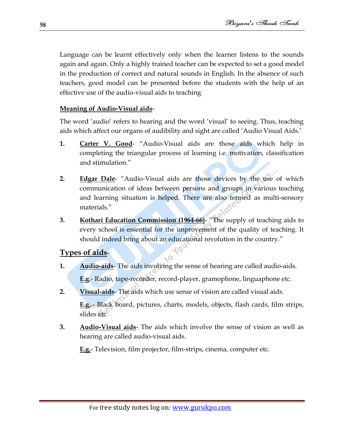Language can be learnt effectively only when the learner listens to the sounds again and again. Only a highly trained teacher can be expected to set a good model in the production of correct and natural sounds in English. In the absence of such teachers, good model can be presented before the students with the help of an effective use of the audio-visual aids to teaching.

#### **Meaning of Audio-Visual aids**-

The word "audio" refers to hearing and the word "visual" to seeing. Thus, teaching aids which affect our organs of audibility and sight are called "Audio Visual Aids."

- **1. Carter V. Good** "Audio-Visual aids are those aids which help in completing the triangular process of learning i.e. motivation, classification and stimulation."
- **2. Edgar Dale** "Audio-Visual aids are those devices by the use of which communication of ideas between persons and groups in various teaching and learning situation is helped. There are also termed as multi-sensory materials."
- **3. Kothari Education Commission (1964-66)** "The supply of teaching aids to every school is essential for the improvement of the quality of teaching. It should indeed bring about an educational revolution in the country."

### **Types of aids**-

**1. Audio-aids**- The aids involving the sense of hearing are called audio-aids. **E.g**.- Radio, tape-recorder, record-player, gramophone, linguaphone etc.

- 0

- **2. Visual-aids** The aids which use sense of vision are called visual aids. **E.g.**.- Black board, pictures, charts, models, objects, flash cards, film strips, slides etc.
- **3. Audio-Visual aids** The aids which involve the sense of vision as well as hearing are called audio-visual aids.

**E.g.**- Television, film projector, film-strips, cinema, computer etc.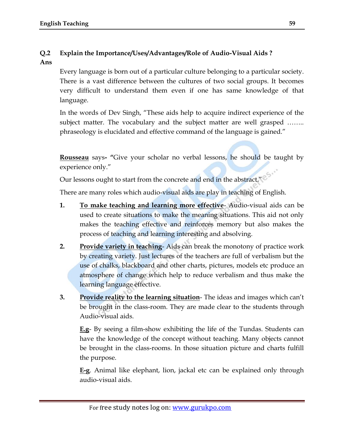# **Q.2 Explain the Importance/Uses/Advantages/Role of Audio-Visual Aids ?**

#### **Ans**

Every language is born out of a particular culture belonging to a particular society. There is a vast difference between the cultures of two social groups. It becomes very difficult to understand them even if one has same knowledge of that language.

In the words of Dev Singh, "These aids help to acquire indirect experience of the subject matter. The vocabulary and the subject matter are well grasped …….. phraseology is elucidated and effective command of the language is gained."

**Rousseau** says**- "**Give your scholar no verbal lessons, he should be taught by experience only."

Our lessons ought to start from the concrete and end in the abstract."<sup>2</sup>

There are many roles which audio-visual aids are play in teaching of English.

- **1. To make teaching and learning more effective** Audio-visual aids can be used to create situations to make the meaning situations. This aid not only makes the teaching effective and reinforces memory but also makes the process of teaching and learning interesting and absolving.
- **2. Provide variety in teaching** Aids can break the monotony of practice work by creating variety. Just lectures of the teachers are full of verbalism but the use of chalks, blackboard and other charts, pictures, models etc produce an atmosphere of change which help to reduce verbalism and thus make the learning language effective.
- **3. Provide reality to the learning situation** The ideas and images which can"t be brought in the class-room. They are made clear to the students through Audio-visual aids.

**E.g**- By seeing a film-show exhibiting the life of the Tundas. Students can have the knowledge of the concept without teaching. Many objects cannot be brought in the class-rooms. In those situation picture and charts fulfill the purpose.

**E-g**. Animal like elephant, lion, jackal etc can be explained only through audio-visual aids.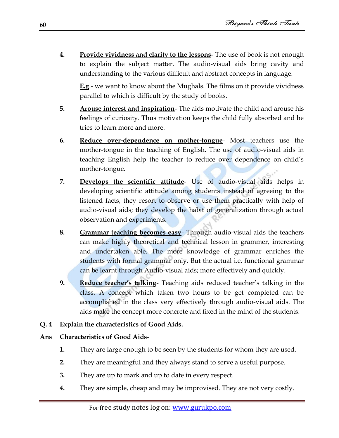**4. Provide vividness and clarity to the lessons**- The use of book is not enough to explain the subject matter. The audio-visual aids bring cavity and understanding to the various difficult and abstract concepts in language.

**E.g**.- we want to know about the Mughals. The films on it provide vividness parallel to which is difficult by the study of books.

- **5. Arouse interest and inspiration** The aids motivate the child and arouse his feelings of curiosity. Thus motivation keeps the child fully absorbed and he tries to learn more and more.
- **6. Reduce over-dependence on mother-tongue** Most teachers use the mother-tongue in the teaching of English. The use of audio-visual aids in teaching English help the teacher to reduce over dependence on child"s mother-tongue.
- **7. Develops the scientific attitude** Use of audio-visual aids helps in developing scientific attitude among students instead of agreeing to the listened facts, they resort to observe or use them practically with help of audio-visual aids; they develop the habit of generalization through actual observation and experiments.
- **8. Grammar teaching becomes easy** Through audio-visual aids the teachers can make highly theoretical and technical lesson in grammer, interesting and undertaken able. The more knowledge of grammar enriches the students with formal grammar only. But the actual i.e. functional grammar can be learnt through Audio-visual aids; more effectively and quickly.
- **9. Reduce teacher"s talking** Teaching aids reduced teacher"s talking in the class. A concept which taken two hours to be get completed can be accomplished in the class very effectively through audio-visual aids. The aids make the concept more concrete and fixed in the mind of the students.

### **Q. 4 Explain the characteristics of Good Aids.**

### **Ans Characteristics of Good Aids**-

- **1.** They are large enough to be seen by the students for whom they are used.
- **2.** They are meaningful and they always stand to serve a useful purpose.
- **3.** They are up to mark and up to date in every respect.
- **4.** They are simple, cheap and may be improvised. They are not very costly.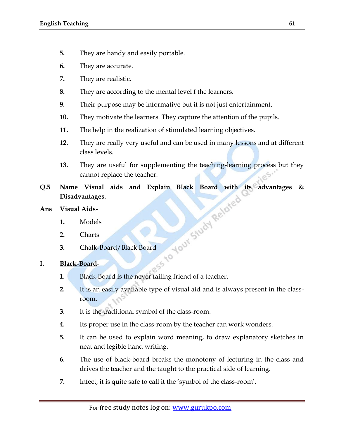- **5.** They are handy and easily portable.
- **6.** They are accurate.
- **7.** They are realistic.
- **8.** They are according to the mental level f the learners.
- **9.** Their purpose may be informative but it is not just entertainment.
- **10.** They motivate the learners. They capture the attention of the pupils.
- **11.** The help in the realization of stimulated learning objectives.
- **12.** They are really very useful and can be used in many lessons and at different class levels.
- **13.** They are useful for supplementing the teaching-learning process but they cannot replace the teacher.
- **Q.5** Name Visual aids and Explain Black Board with its advantages & Disadvantages.<br>
Ans Visual Aids-<br>
1. Models<br>
2. Charts<br>
3. Chalk-Board: **Disadvantages.**
- **Ans Visual Aids**-
	- **1.** Models
	- **2.** Charts
	- **3.** Chalk-Board/Black Board

### **I. Black-Board**-

- **1.** Black-Board is the never failing friend of a teacher.
- **2.** It is an easily available type of visual aid and is always present in the classroom.
- **3.** It is the traditional symbol of the class-room.
- **4.** Its proper use in the class-room by the teacher can work wonders.
- **5.** It can be used to explain word meaning, to draw explanatory sketches in neat and legible hand writing.
- **6.** The use of black-board breaks the monotony of lecturing in the class and drives the teacher and the taught to the practical side of learning.
- **7.** Infect, it is quite safe to call it the "symbol of the class-room".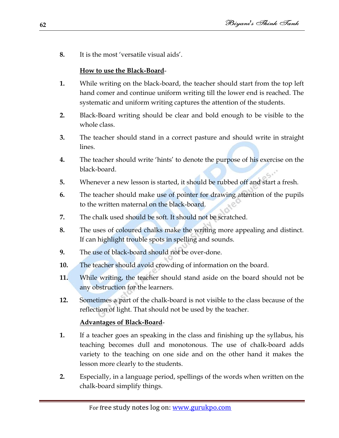**8.** It is the most 'versatile visual aids'.

# **How to use the Black-Board**-

- **1.** While writing on the black-board, the teacher should start from the top left hand comer and continue uniform writing till the lower end is reached. The systematic and uniform writing captures the attention of the students.
- **2.** Black-Board writing should be clear and bold enough to be visible to the whole class.
- **3.** The teacher should stand in a correct pasture and should write in straight lines.
- **4.** The teacher should write "hints" to denote the purpose of his exercise on the black-board.
- **5.** Whenever a new lesson is started, it should be rubbed off and start a fresh.
- **6.** The teacher should make use of pointer for drawing attention of the pupils to the written maternal on the black-board.
- **7.** The chalk used should be soft. It should not be scratched.
- **8.** The uses of coloured chalks make the writing more appealing and distinct. If can highlight trouble spots in spelling and sounds.
- **9.** The use of black-board should not be over-done.
- **10.** The teacher should avoid crowding of information on the board.
- **11.** While writing, the teacher should stand aside on the board should not be any obstruction for the learners.
- **12.** Sometimes a part of the chalk-board is not visible to the class because of the reflection of light. That should not be used by the teacher.

# **Advantages of Black-Board**-

- **1.** If a teacher goes an speaking in the class and finishing up the syllabus, his teaching becomes dull and monotonous. The use of chalk-board adds variety to the teaching on one side and on the other hand it makes the lesson more clearly to the students.
- **2.** Especially, in a language period, spellings of the words when written on the chalk-board simplify things.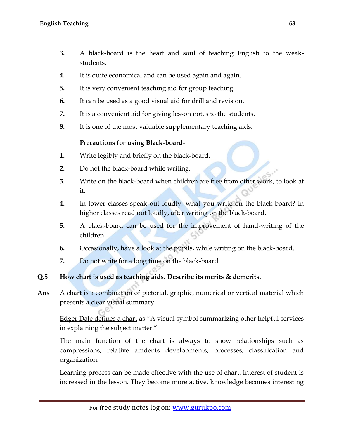- **3.** A black-board is the heart and soul of teaching English to the weakstudents.
- **4.** It is quite economical and can be used again and again.
- **5.** It is very convenient teaching aid for group teaching.
- **6.** It can be used as a good visual aid for drill and revision.
- **7.** It is a convenient aid for giving lesson notes to the students.
- **8.** It is one of the most valuable supplementary teaching aids.

#### **Precautions for using Black-board**-

- **1.** Write legibly and briefly on the black-board.
- **2.** Do not the black-board while writing.
- **3.** Write on the black-board when children are free from other work, to look at it.
- **4.** In lower classes-speak out loudly, what you write on the black-board? In higher classes read out loudly, after writing on the black-board.
- **5.** A black-board can be used for the improvement of hand-writing of the children.
- **6.** Occasionally, have a look at the pupils, while writing on the black-board.
- **7.** Do not write for a long time on the black-board.
- **Q.5 How chart is used as teaching aids. Describe its merits & demerits.**
- **Ans** A chart is a combination of pictorial, graphic, numerical or vertical material which presents a clear visual summary.

Edger Dale defines a chart as "A visual symbol summarizing other helpful services in explaining the subject matter."

The main function of the chart is always to show relationships such as compressions, relative amdents developments, processes, classification and organization.

Learning process can be made effective with the use of chart. Interest of student is increased in the lesson. They become more active, knowledge becomes interesting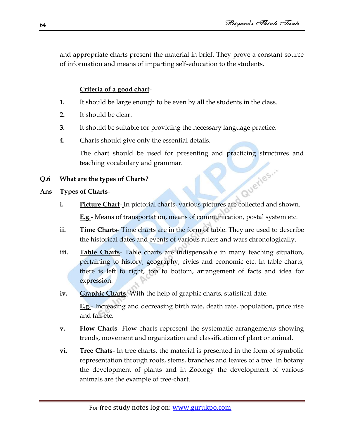and appropriate charts present the material in brief. They prove a constant source of information and means of imparting self-education to the students.

# **Criteria of a good chart**-

- **1.** It should be large enough to be even by all the students in the class.
- **2.** It should be clear.
- **3.** It should be suitable for providing the necessary language practice.
- **4.** Charts should give only the essential details.

The chart should be used for presenting and practicing structures and teaching vocabulary and grammar. Quetles...

#### **Q.6 What are the types of Charts?**

#### **Ans Types of Charts**-

- **i.** Picture Chart- In pictorial charts, various pictures are collected and shown. **E.g**.- Means of transportation, means of communication, postal system etc.
- **ii. Time Charts** Time charts are in the form of table. They are used to describe the historical dates and events of various rulers and wars chronologically.
- **iii. Table Charts** Table charts are indispensable in many teaching situation, pertaining to history, geography, civics and economic etc. In table charts, there is left to right, top to bottom, arrangement of facts and idea for expression.
- **iv. Graphic Charts** With the help of graphic charts, statistical date.

**E.g.**- Increasing and decreasing birth rate, death rate, population, price rise and fall etc.

- **v. Flow Charts** Flow charts represent the systematic arrangements showing trends, movement and organization and classification of plant or animal.
- **vi. Tree Chats** In tree charts, the material is presented in the form of symbolic representation through roots, stems, branches and leaves of a tree. In botany the development of plants and in Zoology the development of various animals are the example of tree-chart.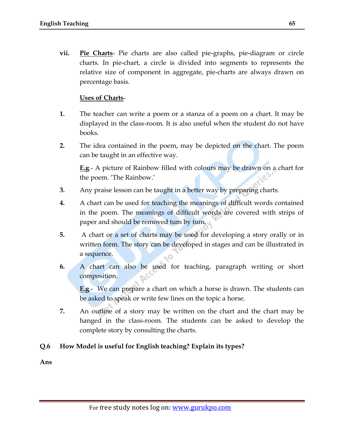**vii. Pie Charts**- Pie charts are also called pie-graphs, pie-diagram or circle charts. In pie-chart, a circle is divided into segments to represents the relative size of component in aggregate, pie-charts are always drawn on percentage basis.

#### **Uses of Charts**-

- **1.** The teacher can write a poem or a stanza of a poem on a chart. It may be displayed in the class-room. It is also useful when the student do not have books.
- **2.** The idea contained in the poem, may be depicted on the chart. The poem can be taught in an effective way.

**E.g**.- A picture of Rainbow filled with colours may be drawn on a chart for the poem. The Rainbow.'

- **3.** Any praise lesson can be taught in a better way by preparing charts.
- **4.** A chart can be used for teaching the meanings of difficult words contained in the poem. The meanings of difficult words are covered with strips of paper and should be removed tum by tum.
- **5.** A chart or a set of charts may be used for developing a story orally or in written form. The story can be developed in stages and can be illustrated in a sequence.
- **6.** A chart can also be used for teaching, paragraph writing or short composition.

**E.g**.- We can prepare a chart on which a horse is drawn. The students can be asked to speak or write few lines on the topic a horse.

**7.** An outline of a story may be written on the chart and the chart may be hanged in the class-room. The students can be asked to develop the complete story by consulting the charts.

#### **Q.6 How Model is useful for English teaching? Explain its types?**

**Ans**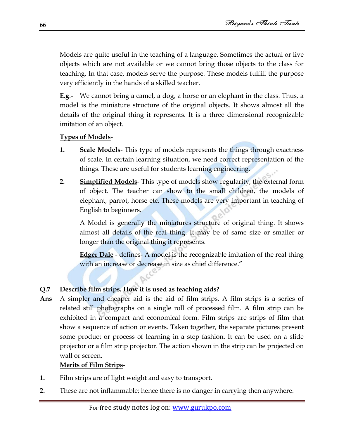Models are quite useful in the teaching of a language. Sometimes the actual or live objects which are not available or we cannot bring those objects to the class for teaching. In that case, models serve the purpose. These models fulfill the purpose very efficiently in the hands of a skilled teacher.

**E.g**.- We cannot bring a camel, a dog, a horse or an elephant in the class. Thus, a model is the miniature structure of the original objects. It shows almost all the details of the original thing it represents. It is a three dimensional recognizable imitation of an object.

### **Types of Models**-

- **1. Scale Models** This type of models represents the things through exactness of scale. In certain learning situation, we need correct representation of the things. These are useful for students learning engineering.
- **2. Simplified Models** This type of models show regularity, the external form of object. The teacher can show to the small children, the models of elephant, parrot, horse etc. These models are very important in teaching of English to beginners.

A Model is generally the miniatures structure of original thing. It shows almost all details of the real thing. It may be of same size or smaller or longer than the original thing it represents.

**Edger Dale** - defines- A model is the recognizable imitation of the real thing with an increase or decrease in size as chief difference."

### **Q.7 Describe film strips. How it is used as teaching aids?**

**Ans** A simpler and cheaper aid is the aid of film strips. A film strips is a series of related still photographs on a single roll of processed film. A film strip can be exhibited in a compact and economical form. Film strips are strips of film that show a sequence of action or events. Taken together, the separate pictures present some product or process of learning in a step fashion. It can be used on a slide projector or a film strip projector. The action shown in the strip can be projected on wall or screen.

### **Merits of Film Strips**-

- **1.** Film strips are of light weight and easy to transport.
- **2.** These are not inflammable; hence there is no danger in carrying then anywhere.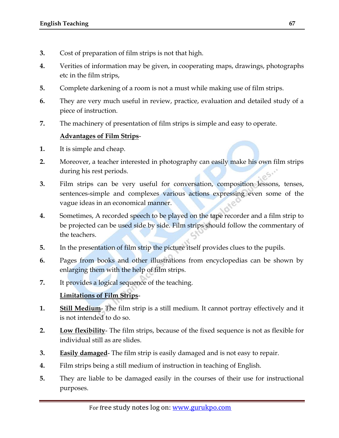- **3.** Cost of preparation of film strips is not that high.
- **4.** Verities of information may be given, in cooperating maps, drawings, photographs etc in the film strips,
- **5.** Complete darkening of a room is not a must while making use of film strips.
- **6.** They are very much useful in review, practice, evaluation and detailed study of a piece of instruction.
- **7.** The machinery of presentation of film strips is simple and easy to operate.

# **Advantages of Film Strips**-

- **1.** It is simple and cheap.
- **2.** Moreover, a teacher interested in photography can easily make his own film strips during his rest periods.
- **3.** Film strips can be very useful for conversation, composition lessons, tenses, sentences-simple and complexes various actions expressing even some of the vague ideas in an economical manner.
- **4.** Sometimes, A recorded speech to be played on the tape recorder and a film strip to be projected can be used side by side. Film strips should follow the commentary of the teachers.
- **5.** In the presentation of film strip the picture itself provides clues to the pupils.
- **6.** Pages from books and other illustrations from encyclopedias can be shown by enlarging them with the help of film strips.
- **7.** It provides a logical sequence of the teaching.

# **Limitations of Film Strips**-

- **1. Still Medium** The film strip is a still medium. It cannot portray effectively and it is not intended to do so.
- **2. Low flexibility** The film strips, because of the fixed sequence is not as flexible for individual still as are slides.
- **3. Easily damaged** The film strip is easily damaged and is not easy to repair.
- **4.** Film strips being a still medium of instruction in teaching of English.
- **5.** They are liable to be damaged easily in the courses of their use for instructional purposes.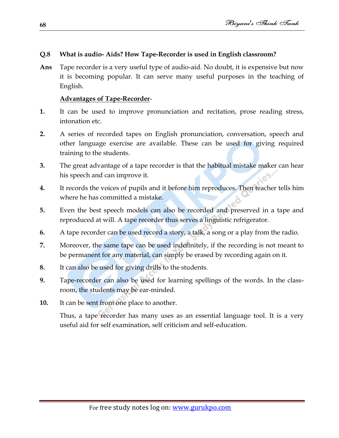#### **Q.8 What is audio- Aids? How Tape-Recorder is used in English classroom?**

**Ans** Tape recorder is a very useful type of audio-aid. No doubt, it is expensive but now it is becoming popular. It can serve many useful purposes in the teaching of English.

#### **Advantages of Tape-Recorder**-

- **1.** It can be used to improve pronunciation and recitation, prose reading stress, intonation etc.
- **2.** A series of recorded tapes on English pronunciation, conversation, speech and other language exercise are available. These can be used for giving required training to the students.
- **3.** The great advantage of a tape recorder is that the habitual mistake maker can hear his speech and can improve it.
- **4.** It records the voices of pupils and it before him reproduces. Then teacher tells him where he has committed a mistake.
- **5.** Even the best speech models can also be recorded and preserved in a tape and reproduced at will. A tape recorder thus serves a linguistic refrigerator.
- **6.** A tape recorder can be used record a story, a talk, a song or a play from the radio.
- **7.** Moreover, the same tape can be used indefinitely, if the recording is not meant to be permanent for any material, can simply be erased by recording again on it.
- **8.** It can also be used for giving drills to the students.
- **9.** Tape-recorder can also be used for learning spellings of the words. In the classroom, the students may be ear-minded.
- **10.** It can be sent from one place to another.

Thus, a tape recorder has many uses as an essential language tool. It is a very useful aid for self examination, self criticism and self-education.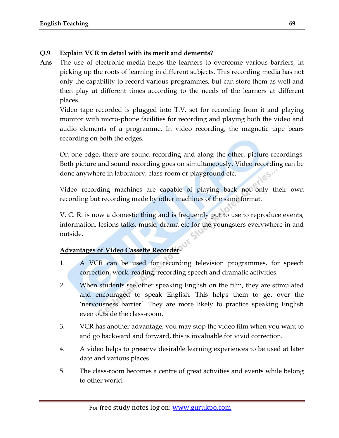### **Q.9 Explain VCR in detail with its merit and demerits?**

**Ans** The use of electronic media helps the learners to overcome various barriers, in picking up the roots of learning in different subjects. This recording media has not only the capability to record various programmes, but can store them as well and then play at different times according to the needs of the learners at different places.

Video tape recorded is plugged into T.V. set for recording from it and playing monitor with micro-phone facilities for recording and playing both the video and audio elements of a programme. In video recording, the magnetic tape bears recording on both the edges.

On one edge, there are sound recording and along the other, picture recordings. Both picture and sound recording goes on simultaneously. Video recording can be done anywhere in laboratory, class-room or playground etc.

Video recording machines are capable of playing back not only their own recording but recording made by other machines of the same format.

V. C. R. is now a domestic thing and is frequently put to use to reproduce events, information, lesions talks, music, drama etc for the youngsters everywhere in and outside.

#### **Advantages of Video Cassette Recorder**-

- 1. A VCR can be used for recording television programmes, for speech correction, work, reading, recording speech and dramatic activities.
- 2. When students see other speaking English on the film, they are stimulated and encouraged to speak English. This helps them to get over the "nervousness barrier". They are more likely to practice speaking English even outside the class-room.
- 3. VCR has another advantage, you may stop the video film when you want to and go backward and forward, this is invaluable for vivid correction.
- 4. A video helps to preserve desirable learning experiences to be used at later date and various places.
- 5. The class-room becomes a centre of great activities and events while belong to other world.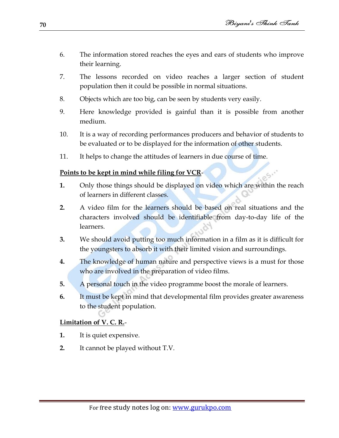- 6. The information stored reaches the eyes and ears of students who improve their learning.
- 7. The lessons recorded on video reaches a larger section of student population then it could be possible in normal situations.
- 8. Objects which are too big, can be seen by students very easily.
- 9. Here knowledge provided is gainful than it is possible from another medium.
- 10. It is a way of recording performances producers and behavior of students to be evaluated or to be displayed for the information of other students.
- 11. It helps to change the attitudes of learners in due course of time.

# **Points to be kept in mind while filing for VCR**-

- **1.** Only those things should be displayed on video which are within the reach of learners in different classes.
- **2.** A video film for the learners should be based on real situations and the characters involved should be identifiable from day-to-day life of the learners.
- **3.** We should avoid putting too much information in a film as it is difficult for the youngsters to absorb it with their limited vision and surroundings.
- **4.** The knowledge of human nature and perspective views is a must for those who are involved in the preparation of video films.
- **5.** A personal touch in the video programme boost the morale of learners.
- **6.** It must be kept in mind that developmental film provides greater awareness to the student population.

# **Limitation of V. C. R.**-

- **1.** It is quiet expensive.
- **2.** It cannot be played without T.V.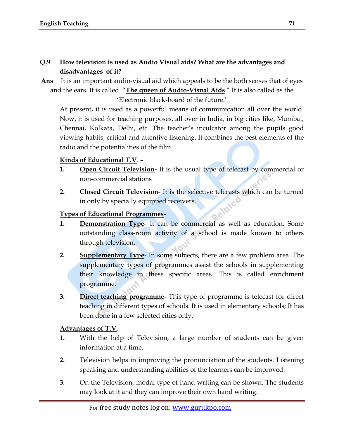### **Q.9 How television is used as Audio Visual aids? What are the advantages and disadvantages of it?**

**Ans** It is an important audio-visual aid which appeals to be the both senses that of eyes and the ears. It is called. "**The queen of Audio-Visual Aids**." It is also called as the

"Electronic black-board of the future."

At present, it is used as a powerful means of communication all over the world. Now, it is used for teaching purposes, all over in India, in big cities like, Mumbai, Chennai, Kolkata, Delhi, etc. The teacher"s inculcator among the pupils good viewing habits, critical and attentive listening. It combines the best elements of the radio and the potentialities of the film.

#### **Kinds of Educational T.V**. –

- **1. Open Circuit Television-** It is the usual type of telecast by commercial or non-commercial stations
- **2. Closed Circuit Television** It is the selective telecasts which can be turned in only by specially equipped receivers.

#### **Types of Educational Programmes**-

- **1. Demonstration Type** It can be commercial as well as education. Some outstanding class-room activity of a school is made known to others through television.
- **2. Supplementary Type** In some subjects, there are a few problem area. The supplementary types of programmes assist the schools in supplementing their knowledge in these specific areas. This is called enrichment programme.
- **3. Direct teaching programme** This type of programme is telecast for direct teaching in different types of schools. It is used in elementary schools; It has been done in a few selected cities only.

#### **Advantages of T.V**.-

- **1.** With the help of Television, a large number of students can be given information at a time.
- **2.** Television helps in improving the pronunciation of the students. Listening speaking and understanding abilities of the learners can be improved.
- **3.** On the Television, modal type of hand writing can be shown. The students may look at it and they can improve their own hand writing.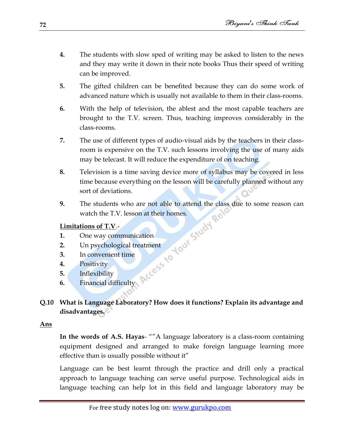- **4.** The students with slow sped of writing may be asked to listen to the news and they may write it down in their note books Thus their speed of writing can be improved.
- **5.** The gifted children can be benefited because they can do some work of advanced nature which is usually not available to them in their class-rooms.
- **6.** With the help of television, the ablest and the most capable teachers are brought to the T.V. screen. Thus, teaching improves considerably in the class-rooms.
- **7.** The use of different types of audio-visual aids by the teachers in their classroom is expensive on the T.V. such lessons involving the use of many aids may be telecast. It will reduce the expenditure of on teaching.
- **8.** Television is a time saving device more of syllabus may be covered in less time because everything on the lesson will be carefully planned without any sort of deviations.
- **9.** The students who are not able to attend the class due to some reason can watch the T.V. lesson at their homes.

### **Limitations of T.V**.-

- **1.** One way communication
- **2.** Un psychological treatment
- **3.** In convenient time
- **4.** Positivity
- **5.** Inflexibility
- **6.** Financial difficulty

# **Q.10 What is Language Laboratory? How does it functions? Explain its advantage and disadvantages.**

### **Ans**

**In the words of A.S. Hayas**- ""A language laboratory is a class-room containing equipment designed and arranged to make foreign language learning more effective than is usually possible without it"

Language can be best learnt through the practice and drill only a practical approach to language teaching can serve useful purpose. Technological aids in language teaching can help lot in this field and language laboratory may be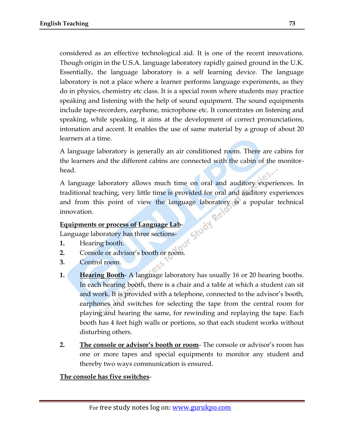considered as an effective technological aid. It is one of the recent innovations. Though origin in the U.S.A. language laboratory rapidly gained ground in the U.K. Essentially, the language laboratory is a self learning device. The language laboratory is not a place where a learner performs language experiments, as they do in physics, chemistry etc class. It is a special room where students may practice speaking and listening with the help of sound equipment. The sound equipments include tape-recorders, earphone, microphone etc. It concentrates on listening and speaking, while speaking, it aims at the development of correct pronunciations, intonation and accent. It enables the use of same material by a group of about 20 learners at a time.

A language laboratory is generally an air conditioned room. There are cabins for the learners and the different cabins are connected with the cabin of the monitorhead.

A language laboratory allows much time on oral and auditory experiences. In traditional teaching, very little time is provided for oral and auditory experiences and from this point of view the language laboratory is a popular technical<br>innovation.<br>Equipments or process of Language Lab-<br>Language laboratory has three sections innovation.

#### **Equipments or process of Language Lab**-

Language laboratory has three sections-

- **1.** Hearing booth.
- **2.** Console or advisor's booth or room.
- **3.** Control room.
- **1. Hearing Booth** A language laboratory has usually 16 or 20 hearing booths. In each hearing booth, there is a chair and a table at which a student can sit and work. It is provided with a telephone, connected to the advisor"s booth, earphones and switches for selecting the tape from the central room for playing and hearing the same, for rewinding and replaying the tape. Each booth has 4 feet high walls or portions, so that each student works without disturbing others.
- **2. The console or advisor's booth or room** The console or advisor's room has one or more tapes and special equipments to monitor any student and thereby two ways communication is ensured.

#### **The console has five switches**-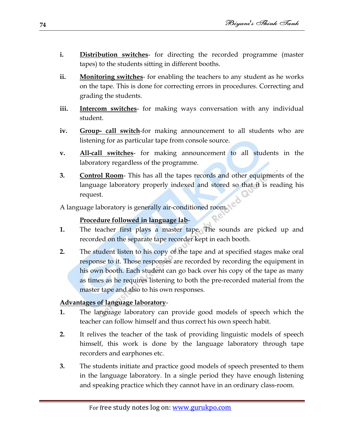- **i. Distribution switches** for directing the recorded programme (master tapes) to the students sitting in different booths.
- **ii. Monitoring switches** for enabling the teachers to any student as he works on the tape. This is done for correcting errors in procedures. Correcting and grading the students.
- **iii. Intercom switches** for making ways conversation with any individual student.
- **iv. Group- call switch**-for making announcement to all students who are listening for as particular tape from console source.
- **v. All-call switches** for making announcement to all students in the laboratory regardless of the programme.
- **3. Control Room** This has all the tapes records and other equipments of the language laboratory properly indexed and stored so that it is reading his request.

A language laboratory is generally air-conditioned room.

#### **Procedure followed in language lab**-

- **1.** The teacher first plays a master tape. The sounds are picked up and recorded on the separate tape recorder kept in each booth.
- **2.** The student listen to his copy of the tape and at specified stages make oral response to it. Those responses are recorded by recording the equipment in his own booth. Each student can go back over his copy of the tape as many as times as he requires listening to both the pre-recorded material from the master tape and also to his own responses.

# **Advantages of language laboratory**-

- **1.** The language laboratory can provide good models of speech which the teacher can follow himself and thus correct his own speech habit.
- **2.** It relives the teacher of the task of providing linguistic models of speech himself, this work is done by the language laboratory through tape recorders and earphones etc.
- **3.** The students initiate and practice good models of speech presented to them in the language laboratory. In a single period they have enough listening and speaking practice which they cannot have in an ordinary class-room.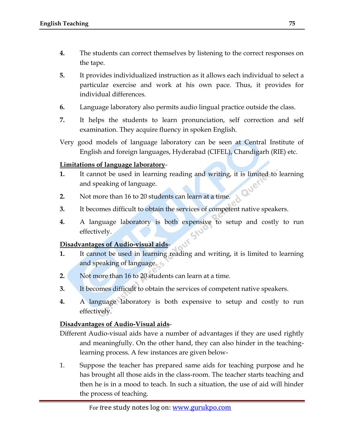- **4.** The students can correct themselves by listening to the correct responses on the tape.
- **5.** It provides individualized instruction as it allows each individual to select a particular exercise and work at his own pace. Thus, it provides for individual differences.
- **6.** Language laboratory also permits audio lingual practice outside the class.
- **7.** It helps the students to learn pronunciation, self correction and self examination. They acquire fluency in spoken English.
- Very good models of language laboratory can be seen at Central Institute of English and foreign languages, Hyderabad (CIFEL), Chandigarh (RIE) etc.

#### **Limitations of language laboratory**-

- **1.** It cannot be used in learning reading and writing, it is limited to learning and speaking of language.
- **2.** Not more than 16 to 20 students can learn at a time.
- **3.** It becomes difficult to obtain the services of competent native speakers.
- **4.** A language laboratory is both expensive to setup and costly to run effectively.

#### **Disadvantages of Audio-visual aids**-

- **1.** It cannot be used in learning reading and writing, it is limited to learning and speaking of language.
- **2.** Not more than 16 to 20 students can learn at a time.
- **3.** It becomes difficult to obtain the services of competent native speakers.
- **4.** A language laboratory is both expensive to setup and costly to run effectively.

#### **Disadvantages of Audio-Visual aids**-

Different Audio-visual aids have a number of advantages if they are used rightly and meaningfully. On the other hand, they can also hinder in the teachinglearning process. A few instances are given below-

1. Suppose the teacher has prepared same aids for teaching purpose and he has brought all those aids in the class-room. The teacher starts teaching and then he is in a mood to teach. In such a situation, the use of aid will hinder the process of teaching.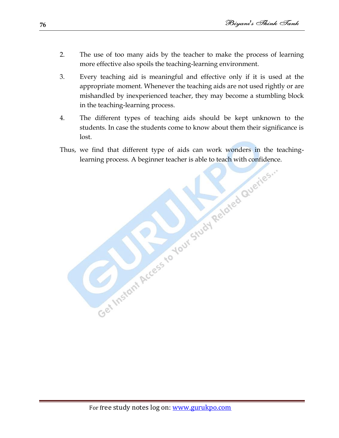- 2. The use of too many aids by the teacher to make the process of learning more effective also spoils the teaching-learning environment.
- 3. Every teaching aid is meaningful and effective only if it is used at the appropriate moment. Whenever the teaching aids are not used rightly or are mishandled by inexperienced teacher, they may become a stumbling block in the teaching-learning process.
- 4. The different types of teaching aids should be kept unknown to the students. In case the students come to know about them their significance is lost.
- Thus, we find that different type of aids can work wonders in the teachinglearning process. A beginner teacher is able to teach with confidence.

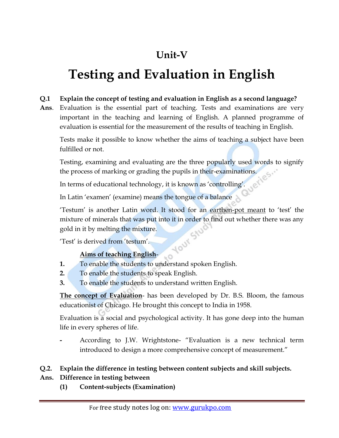# **Unit-V**

# **Testing and Evaluation in English**

#### **Q.1 Explain the concept of testing and evaluation in English as a second language?**

**Ans**. Evaluation is the essential part of teaching. Tests and examinations are very important in the teaching and learning of English. A planned programme of evaluation is essential for the measurement of the results of teaching in English.

Tests make it possible to know whether the aims of teaching a subject have been fulfilled or not.

Testing, examining and evaluating are the three popularly used words to signify the process of marking or grading the pupils in their-examinations.<br>In terms of educational technology, it is known as  $\left($ the process of marking or grading the pupils in their-examinations.

In terms of educational technology, it is known as 'controlling'.

In Latin 'examen' (examine) means the tongue of a balance

"Testum" is another Latin word. It stood for an earthen-pot meant to "test" the mixture of minerals that was put into it in order to find out whether there was any gold in it by melting the mixture.<br>
Test' is derived from 'testum'.<br>
Aims of the Mineral is gold in it by melting the mixture.

'Test' is derived from 'testum'.

# **Aims of teaching English**-

**1.** To enable the students to understand spoken English.

 $-0$ 

- **2.** To enable the students to speak English.
- **3.** To enable the students to understand written English.

**The concept of Evaluation**- has been developed by Dr. B.S. Bloom, the famous educationist of Chicago. He brought this concept to India in 1958.

Evaluation is a social and psychological activity. It has gone deep into the human life in every spheres of life.

**-** According to J.W. Wrightstone- "Evaluation is a new technical term introduced to design a more comprehensive concept of measurement."

#### **Q.2. Explain the difference in testing between content subjects and skill subjects.**

#### **Ans. Difference in testing between**

**(1) Content-subjects (Examination)**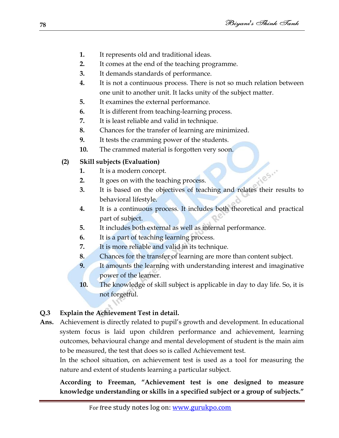iles...

- **1.** It represents old and traditional ideas.
- **2.** It comes at the end of the teaching programme.
- **3.** It demands standards of performance.
- **4.** It is not a continuous process. There is not so much relation between one unit to another unit. It lacks unity of the subject matter.
- **5.** It examines the external performance.
- **6.** It is different from teaching-learning process.
- **7.** It is least reliable and valid in technique.
- **8.** Chances for the transfer of learning are minimized.
- **9.** It tests the cramming power of the students.
- **10.** The crammed material is forgotten very soon.

# **(2) Skill subjects (Evaluation)**

- **1.** It is a modern concept.
- **2.** It goes on with the teaching process.
- **3.** It is based on the objectives of teaching and relates their results to behavioral lifestyle.
- **4.** It is a continuous process. It includes both theoretical and practical part of subject.
- **5.** It includes both external as well as internal performance.
- **6.** It is a part of teaching learning process.
- **7.** It is more reliable and valid in its technique.
- **8.** Chances for the transfer of learning are more than content subject.
- **9.** It amounts the learning with understanding interest and imaginative power of the learner.
- **10.** The knowledge of skill subject is applicable in day to day life. So, it is not forgetful.

# **Q.3 Explain the Achievement Test in detail.**

**Ans.** Achievement is directly related to pupil"s growth and development. In educational system focus is laid upon children performance and achievement, learning outcomes, behavioural change and mental development of student is the main aim to be measured, the test that does so is called Achievement test.

In the school situation, on achievement test is used as a tool for measuring the nature and extent of students learning a particular subject.

**According to Freeman, "Achievement test is one designed to measure knowledge understanding or skills in a specified subject or a group of subjects."**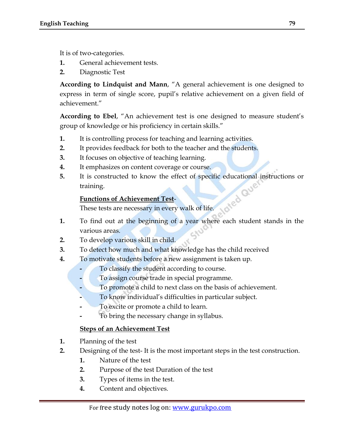It is of two-categories.

- **1.** General achievement tests.
- **2.** Diagnostic Test

**According to Lindquist and Mann**, "A general achievement is one designed to express in term of single score, pupil"s relative achievement on a given field of achievement."

**According to Ebel**, "An achievement test is one designed to measure student"s group of knowledge or his proficiency in certain skills."

- **1.** It is controlling process for teaching and learning activities.
- **2.** It provides feedback for both to the teacher and the students.
- **3.** It focuses on objective of teaching learning.
- **4.** It emphasizes on content coverage or course.
- **5.** It is constructed to know the effect of specific educational instructions or training.

#### **Functions of Achievement Test**-

These tests are necessary in every walk of life.

- **1.** To find out at the beginning of a year where each student stands in the various areas.
- **2.** To develop various skill in child.
- **3.** To detect how much and what knowledge has the child received
- **4.** To motivate students before a new assignment is taken up.
	- **-** To classify the student according to course.
	- **-** To assign course trade in special programme.
	- **-** To promote a child to next class on the basis of achievement.
	- **-** To know individual"s difficulties in particular subject.
	- **-** To excite or promote a child to learn.
	- **-** To bring the necessary change in syllabus.

#### **Steps of an Achievement Test**

- **1.** Planning of the test
- **2.** Designing of the test- It is the most important steps in the test construction.
	- **1.** Nature of the test
	- **2.** Purpose of the test Duration of the test
	- **3.** Types of items in the test.
	- **4.** Content and objectives.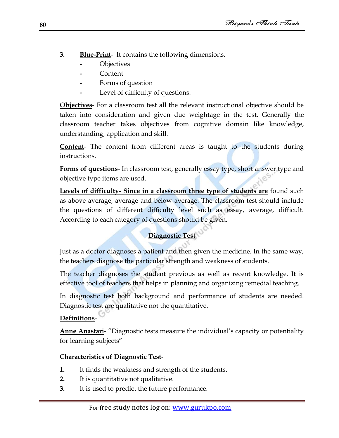- **3. Blue-Print** It contains the following dimensions.
	- **-** Objectives
	- **-** Content
	- **-** Forms of question
	- **-** Level of difficulty of questions.

**Objectives**- For a classroom test all the relevant instructional objective should be taken into consideration and given due weightage in the test. Generally the classroom teacher takes objectives from cognitive domain like knowledge, understanding, application and skill.

**Content**- The content from different areas is taught to the students during instructions.

**Forms of questions**- In classroom test, generally essay type, short answer type and objective type items are used.

**Levels of difficulty- Since in a classroom three type of students are** found such as above average, average and below average. The classroom test should include the questions of different difficulty level such as essay, average, difficult. According to each category of questions should be given.

# **Diagnostic Test**

Just as a doctor diagnoses a patient and then given the medicine. In the same way, the teachers diagnose the particular strength and weakness of students.

The teacher diagnoses the student previous as well as recent knowledge. It is effective tool of teachers that helps in planning and organizing remedial teaching.

In diagnostic test both background and performance of students are needed. Diagnostic test are qualitative not the quantitative.

# **Definitions**-

**Anne Anastari**- "Diagnostic tests measure the individual"s capacity or potentiality for learning subjects"

# **Characteristics of Diagnostic Test**-

- **1.** It finds the weakness and strength of the students.
- **2.** It is quantitative not qualitative.
- **3.** It is used to predict the future performance.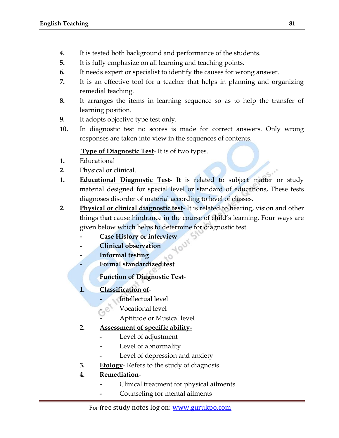- **4.** It is tested both background and performance of the students.
- **5.** It is fully emphasize on all learning and teaching points.
- **6.** It needs expert or specialist to identify the causes for wrong answer.
- **7.** It is an effective tool for a teacher that helps in planning and organizing remedial teaching.
- **8.** It arranges the items in learning sequence so as to help the transfer of learning position.
- **9.** It adopts objective type test only.
- **10.** In diagnostic test no scores is made for correct answers. Only wrong responses are taken into view in the sequences of contents.

#### **Type of Diagnostic Test**- It is of two types.

- **1.** Educational
- **2.** Physical or clinical.
- **1. Educational Diagnostic Test** It is related to subject matter or study material designed for special level or standard of educations, These tests diagnoses disorder of material according to level of classes.
- **2. Physical or clinical diagnostic test** It is related to hearing, vision and other things that cause hindrance in the course of child"s learning. Four ways are given below which helps to determine for diagnostic test.
	- **- Case History or interview**
	- **- Clinical observation**
	- **- Informal testing**
	- **- Formal standardized test**

# **Function of Diagnostic Test**-

- **1. Classification of**
	- **-** Intellectual level
	- **-** Vocational level
	- **-** Aptitude or Musical level

#### **2. Assessment of specific ability-**

- **-** Level of adjustment
- **-** Level of abnormality
- **-** Level of depression and anxiety
- **3. Etology** Refers to the study of diagnosis

# **4. Remediation**-

- **-** Clinical treatment for physical ailments
- **-** Counseling for mental ailments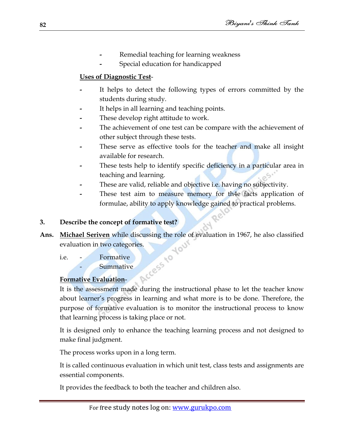- **-** Remedial teaching for learning weakness
- **-** Special education for handicapped

#### **Uses of Diagnostic Test**-

- **-** It helps to detect the following types of errors committed by the students during study.
- **-** It helps in all learning and teaching points.
- **-** These develop right attitude to work.
- **-** The achievement of one test can be compare with the achievement of other subject through these tests.
- **-** These serve as effective tools for the teacher and make all insight available for research.
- **-** These tests help to identify specific deficiency in a particular area in teaching and learning.
- **-** These are valid, reliable and objective i.e. having no subjectivity.
- **-** These test aim to measure memory for th4e facts application of formulae, ability to apply knowledge gained to practical problems.

#### **3. Describe the concept of formative test?**

- **Ans.** <u>Michael Seriven</u> while discussing the role of evaluation in 1967, he also classified evaluation in two categories.<br>
i.e. Formative Summative Summative Evaluation in 1967, he also classified evaluation in two catego evaluation in two categories.
	- i.e. Formative **Summative**

# **Formative Evaluation**-

It is the assessment made during the instructional phase to let the teacher know about learner"s progress in learning and what more is to be done. Therefore, the purpose of formative evaluation is to monitor the instructional process to know that learning process is taking place or not.

It is designed only to enhance the teaching learning process and not designed to make final judgment.

The process works upon in a long term.

It is called continuous evaluation in which unit test, class tests and assignments are essential components.

It provides the feedback to both the teacher and children also.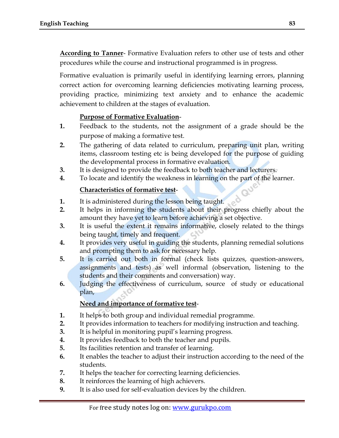**According to Tanner**- Formative Evaluation refers to other use of tests and other procedures while the course and instructional programmed is in progress.

Formative evaluation is primarily useful in identifying learning errors, planning correct action for overcoming learning deficiencies motivating learning process, providing practice, minimizing text anxiety and to enhance the academic achievement to children at the stages of evaluation.

#### **Purpose of Formative Evaluation**-

- **1.** Feedback to the students, not the assignment of a grade should be the purpose of making a formative test.
- **2.** The gathering of data related to curriculum, preparing unit plan, writing items, classroom testing etc is being developed for the purpose of guiding the developmental process in formative evaluation.
- **3.** It is designed to provide the feedback to both teacher and lecturers.
- **4.** To locate and identify the weakness in learning on the part of the learner.

#### **Characteristics of formative test**-

- **1.** It is administered during the lesson being taught.
- **2.** It helps in informing the students about their progress chiefly about the amount they have yet to learn before achieving a set objective.
- **3.** It is useful the extent it remains informative, closely related to the things being taught, timely and frequent.
- **4.** It provides very useful in guiding the students, planning remedial solutions and prompting them to ask for necessary help.
- **5.** It is carried out both in formal (check lists quizzes, question-answers, assignments and tests) as well informal (observation, listening to the students and their comments and conversation) way.
- **6.** Judging the effectiveness of curriculum, source of study or educational plan,

#### **Need and importance of formative test**-

- **1.** It helps to both group and individual remedial programme.
- **2.** It provides information to teachers for modifying instruction and teaching.
- **3.** It is helpful in monitoring pupil"s learning progress.
- **4.** It provides feedback to both the teacher and pupils.
- **5.** Its facilities retention and transfer of learning.
- **6.** It enables the teacher to adjust their instruction according to the need of the students.
- **7.** It helps the teacher for correcting learning deficiencies.
- **8.** It reinforces the learning of high achievers.
- **9.** It is also used for self-evaluation devices by the children.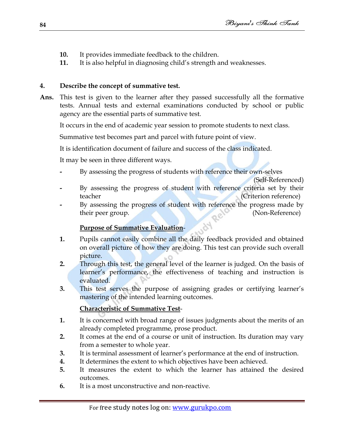- **10.** It provides immediate feedback to the children.
- **11.** It is also helpful in diagnosing child"s strength and weaknesses.

#### **4. Describe the concept of summative test.**

**Ans.** This test is given to the learner after they passed successfully all the formative tests. Annual tests and external examinations conducted by school or public agency are the essential parts of summative test.

It occurs in the end of academic year session to promote students to next class.

Summative test becomes part and parcel with future point of view.

It is identification document of failure and success of the class indicated.

It may be seen in three different ways.

**-** By assessing the progress of students with reference their own-selves

(Self-Referenced)

- By assessing the progress of student with reference criteria set by their teacher (Criterion reference)
- **-** By assessing the progress of student with reference the progress made by their peer group. (Non-Reference)

# **Purpose of Summative Evaluation**-

- **1.** Pupils cannot easily combine all the daily feedback provided and obtained on overall picture of how they are doing. This test can provide such overall picture.
- **2.** Through this test, the general level of the learner is judged. On the basis of learner"s performance, the effectiveness of teaching and instruction is evaluated.
- **3.** This test serves the purpose of assigning grades or certifying learner's mastering of the intended learning outcomes.

# **Characteristic of Summative Test**-

- **1.** It is concerned with broad range of issues judgments about the merits of an already completed programme, prose product.
- **2.** It comes at the end of a course or unit of instruction. Its duration may vary from a semester to whole year.
- **3.** It is terminal assessment of learner"s performance at the end of instruction.
- **4.** It determines the extent to which objectives have been achieved.
- **5.** It measures the extent to which the learner has attained the desired outcomes.
- **6.** It is a most unconstructive and non-reactive.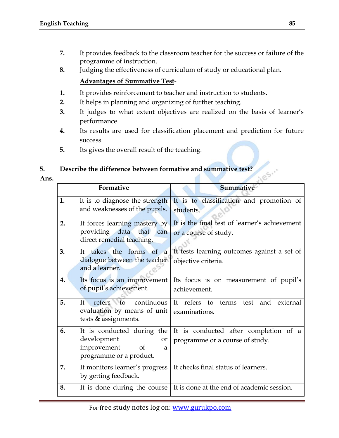- **7.** It provides feedback to the classroom teacher for the success or failure of the programme of instruction.
- **8.** Judging the effectiveness of curriculum of study or educational plan.

#### **Advantages of Summative Test**-

- **1.** It provides reinforcement to teacher and instruction to students.
- **2.** It helps in planning and organizing of further teaching.
- **3.** It judges to what extent objectives are realized on the basis of learner"s performance.
- **4.** Its results are used for classification placement and prediction for future success.
- **5.** Its gives the overall result of the teaching.

#### **5. Describe the difference between formative and summative test?**

**Ans.**

| Describe the difference between formative and summative test?<br>iles |                                                                                                             |                                                                          |  |  |
|-----------------------------------------------------------------------|-------------------------------------------------------------------------------------------------------------|--------------------------------------------------------------------------|--|--|
|                                                                       | Formative                                                                                                   | Summative                                                                |  |  |
| 1.                                                                    | It is to diagnose the strength<br>and weaknesses of the pupils.                                             | It is to classification and promotion of<br>students.                    |  |  |
| 2.                                                                    | It forces learning mastery by<br>providing data that can<br>direct remedial teaching.                       | It is the final test of learner's achievement<br>or a course of study.   |  |  |
| 3.                                                                    | It takes the forms of a<br>dialogue between the teacher<br>and a learner.                                   | It tests learning outcomes against a set of<br>objective criteria.       |  |  |
| 4.                                                                    | Its focus is an improvement<br>of pupil's achievement.                                                      | Its focus is on measurement of pupil's<br>achievement.                   |  |  |
| 5.                                                                    | continuous<br>refers to<br>It<br>evaluation by means of unit<br>tests & assignments.                        | refers to<br>external<br>It<br>test<br>and<br>terms<br>examinations.     |  |  |
| 6.                                                                    | It is conducted during the<br>development<br><b>or</b><br>improvement<br>of<br>a<br>programme or a product. | It is conducted after completion of a<br>programme or a course of study. |  |  |
| 7.                                                                    | It monitors learner's progress<br>by getting feedback.                                                      | It checks final status of learners.                                      |  |  |
| 8.                                                                    | It is done during the course                                                                                | It is done at the end of academic session.                               |  |  |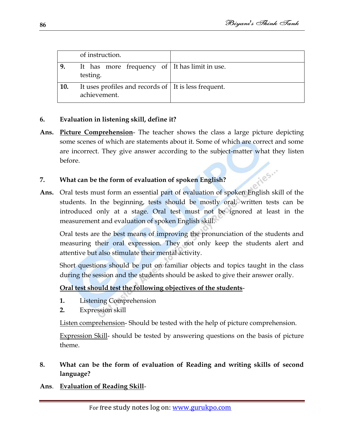riles."

|     | of instruction.                                                        |  |
|-----|------------------------------------------------------------------------|--|
| 9.  | It has more frequency of It has limit in use.<br>testing.              |  |
| 10. | It uses profiles and records of   It is less frequent.<br>achievement. |  |

#### **6. Evaluation in listening skill, define it?**

**Ans. Picture Comprehension**- The teacher shows the class a large picture depicting some scenes of which are statements about it. Some of which are correct and some are incorrect. They give answer according to the subject-matter what they listen before.

#### **7. What can be the form of evaluation of spoken English?**

**Ans.** Oral tests must form an essential part of evaluation of spoken English skill of the students. In the beginning, tests should be mostly oral, written tests can be introduced only at a stage. Oral test must not be ignored at least in the measurement and evaluation of spoken English skill.

Oral tests are the best means of improving the pronunciation of the students and measuring their oral expression. They not only keep the students alert and attentive but also stimulate their mental activity.

Short questions should be put on familiar objects and topics taught in the class during the session and the students should be asked to give their answer orally.

#### **Oral test should test the following objectives of the students**-

- **1.** Listening Comprehension
- **2.** Expression skill

Listen comprehension- Should be tested with the help of picture comprehension.

Expression Skill- should be tested by answering questions on the basis of picture theme.

#### **8. What can be the form of evaluation of Reading and writing skills of second language?**

**Ans**. **Evaluation of Reading Skill**-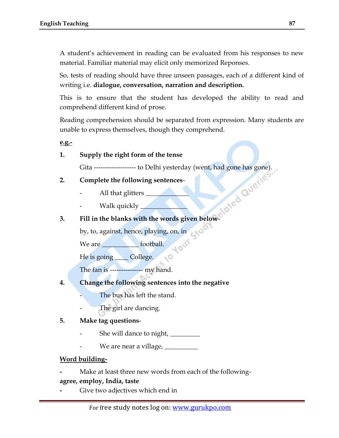A student"s achievement in reading can be evaluated from his responses to new material. Familiar material may elicit only memorized Reponses.

So, tests of reading should have three unseen passages, each of a different kind of writing i.e. **dialogue, conversation, narration and description.**

This is to ensure that the student has developed the ability to read and comprehend different kind of prose.

Reading comprehension should be separated from expression. Many students are unable to express themselves, though they comprehend.

**e.g.-** 

#### **1. Supply the right form of the tense**

Gita ------------------- to Delhi yesterday (went, had gone has gone).

**TOUT** 

 $E<sub>o</sub>$ 

- **2. Complete the following sentences**
	- All that glitters \_
	- Walk quickly \_\_\_\_\_\_\_\_\_\_\_\_\_\_

#### **3. Fill in the blanks with the words given below**-

by, to, against, hence, playing, on, in

We are \_\_\_\_\_\_\_\_\_\_\_\_\_\_ football.

He is going <u>College</u>.

The fan is --------------- my hand.

- **4. Change the following sentences into the negative**
	- The bus has left the stand.
	- The girl are dancing.

#### **5. Make tag questions**-

- She will dance to night, \_\_\_\_\_\_\_\_\_
- We are near a village, **willer**

#### **Word building-**

**-** Make at least three new words from each of the following-

#### **agree, employ, India, taste**

**-** Give two adjectives which end in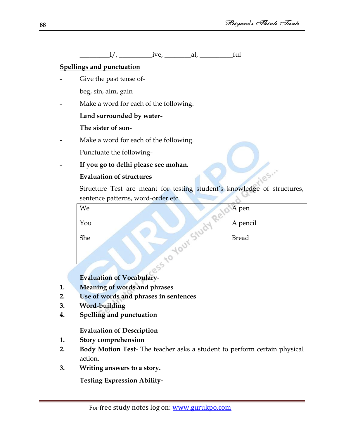\_\_\_\_\_\_\_\_\_I/, \_\_\_\_\_\_\_\_\_\_ive, \_\_\_\_\_\_\_\_al, \_\_\_\_\_\_\_\_\_\_ful

# **Spellings and punctuation**

- **-** Give the past tense ofbeg, sin, aim, gain
- **-** Make a word for each of the following.

# **Land surrounded by water-**

# **The sister of son-**

**-** Make a word for each of the following.

Punctuate the following-

**- If you go to delhi please see mohan.**

# **Evaluation of structures**

185. Structure Test are meant for testing student's knowledge of structures, sentence patterns, word-order etc. ò

| We  | A pen        |
|-----|--------------|
| You | A pencil     |
| She | <b>Bread</b> |
|     |              |

# **Evaluation of Vocabulary**-

- **1. Meaning of words and phrases**
- **2. Use of words and phrases in sentences**
- **3. Word-building**
- **4. Spelling and punctuation**

# **Evaluation of Description**

- **1. Story comprehension**
- **2. Body Motion Test** The teacher asks a student to perform certain physical action.
- **3. Writing answers to a story.**

**Testing Expression Ability-**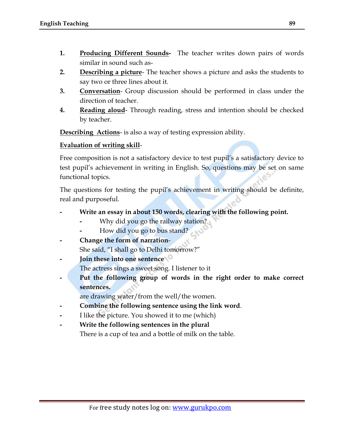- **1. Producing Different Sounds-** The teacher writes down pairs of words similar in sound such as-
- **2. Describing a picture** The teacher shows a picture and asks the students to say two or three lines about it.
- **3. Conversation** Group discussion should be performed in class under the direction of teacher.
- **4. Reading aloud** Through reading, stress and intention should be checked by teacher.

**Describing Actions**- is also a way of testing expression ability.

#### **Evaluation of writing skill**-

Free composition is not a satisfactory device to test pupil"s a satisfactory device to test pupil"s achievement in writing in English. So, questions may be set on same functional topics.

The questions for testing the pupil's achievement in writing should be definite, real and purposeful.

- **- Write an essay in about 150 words, clearing with the following point.**
	- **-** Why did you go the railway station?
	- **-** How did you go to bus stand?
- **- Change the form of narration**-She said, "I shall go to Delhi tomorrow?"
- **- Join these into one sentence** The actress sings a sweet song. I listener to it
- Put the following group of words in the right order to make correct **sentences.**

are drawing water/from the well/the women.

- **- Combine the following sentence using the link word**.
- **-** I like the picture. You showed it to me (which)
- **- Write the following sentences in the plural** There is a cup of tea and a bottle of milk on the table.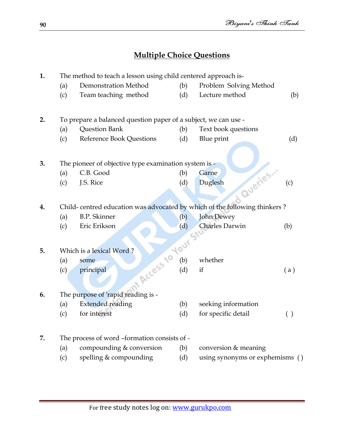# **Multiple Choice Questions**

| 1. | The method to teach a lesson using child centered approach is-  |                                                                            |     |                                 |     |  |
|----|-----------------------------------------------------------------|----------------------------------------------------------------------------|-----|---------------------------------|-----|--|
|    | (a)                                                             | Demonstration Method                                                       | (b) | Problem Solving Method          |     |  |
|    | (c)                                                             | Team teaching method                                                       | (d) | Lecture method                  | (b) |  |
| 2. | To prepare a balanced question paper of a subject, we can use - |                                                                            |     |                                 |     |  |
|    | (a)                                                             | Question Bank                                                              | (b) | Text book questions             |     |  |
|    | (c)                                                             | Reference Book Questions                                                   | (d) | Blue print                      | (d) |  |
| 3. |                                                                 | The pioneer of objective type examination system is -                      |     |                                 |     |  |
|    | (a)                                                             | C.B. Good                                                                  | (b) | Garne                           |     |  |
|    | (c)                                                             | J.S. Rice                                                                  | (d) | d Queries<br>Duglesh            | (c) |  |
|    |                                                                 |                                                                            |     |                                 |     |  |
| 4. |                                                                 | Child- centred education was advocated by which of the following thinkers? |     |                                 |     |  |
|    | (a)                                                             | <b>B.P.</b> Skinner                                                        | (b) | <b>John Dewey</b>               |     |  |
|    | (c)                                                             | Eric Erikson                                                               | (d) | Charles Darwin                  | (b) |  |
|    |                                                                 | nt Access to Your S'                                                       |     |                                 |     |  |
| 5. |                                                                 | Which is a lexical Word?                                                   |     |                                 |     |  |
|    | (a)                                                             | some                                                                       |     | whether                         |     |  |
|    | (c)                                                             | principal                                                                  |     | if                              | (a) |  |
| 6. |                                                                 | The purpose of 'rapid reading is -                                         |     |                                 |     |  |
|    | (a)                                                             | <b>Extended reading</b>                                                    | (b) | seeking information             |     |  |
|    | (c)                                                             | for interest                                                               | (d) | for specific detail             | ( ) |  |
|    |                                                                 |                                                                            |     |                                 |     |  |
| 7. | The process of word -formation consists of -                    |                                                                            |     |                                 |     |  |
|    | (a)                                                             | compounding & conversion                                                   | (b) | conversion & meaning            |     |  |
|    | (c)                                                             | spelling & compounding                                                     | (d) | using synonyms or exphemisms () |     |  |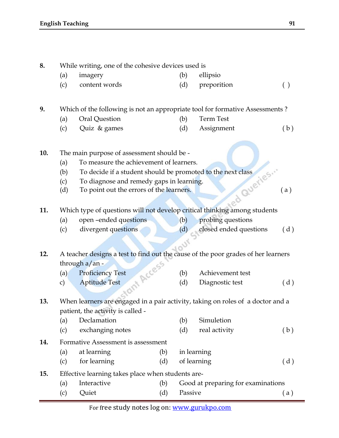| 8.  |                                                                                                                      | While writing, one of the cohesive devices used is                                                                |     |         |                                    |     |  |  |
|-----|----------------------------------------------------------------------------------------------------------------------|-------------------------------------------------------------------------------------------------------------------|-----|---------|------------------------------------|-----|--|--|
|     | (a)                                                                                                                  | imagery                                                                                                           |     | (b)     | ellipsio                           |     |  |  |
|     | (c)                                                                                                                  | content words                                                                                                     |     | (d)     | preporition                        | ( ) |  |  |
| 9.  |                                                                                                                      | Which of the following is not an appropriate tool for formative Assessments ?                                     |     |         |                                    |     |  |  |
|     | (a)                                                                                                                  | Oral Question                                                                                                     |     | (b)     | <b>Term Test</b>                   |     |  |  |
|     | (c)                                                                                                                  | Quiz & games                                                                                                      |     | (d)     | Assignment                         | (b) |  |  |
| 10. |                                                                                                                      | The main purpose of assessment should be -                                                                        |     |         |                                    |     |  |  |
|     | (a)                                                                                                                  | To measure the achievement of learners.                                                                           |     |         |                                    |     |  |  |
|     | (b)                                                                                                                  | To decide if a student should be promoted to the next class                                                       |     |         |                                    |     |  |  |
|     | (c)                                                                                                                  | To diagnose and remedy gaps in learning.                                                                          |     |         |                                    |     |  |  |
|     | (d)                                                                                                                  | To point out the errors of the learners.                                                                          |     |         |                                    | (a) |  |  |
| 11. |                                                                                                                      | Aed Queries<br>Which type of questions will not develop critical thinking among students                          |     |         |                                    |     |  |  |
|     | (a)                                                                                                                  | open-ended questions                                                                                              |     | (b)     | probing questions                  |     |  |  |
|     | (c)                                                                                                                  | divergent questions                                                                                               |     | (d)     | closed ended questions             | (d) |  |  |
|     |                                                                                                                      |                                                                                                                   |     |         |                                    |     |  |  |
| 12. |                                                                                                                      |                                                                                                                   |     |         |                                    |     |  |  |
|     |                                                                                                                      | A teacher designs a test to find out the cause of the poor grades of her learners<br>through a/an -<br>Int Access |     |         |                                    |     |  |  |
|     |                                                                                                                      | <b>Proficiency Test</b>                                                                                           |     | (b)     | Achievement test                   |     |  |  |
|     | (a)                                                                                                                  | <b>Aptitude Test</b>                                                                                              |     |         |                                    |     |  |  |
|     | $\mathbf{c})$                                                                                                        |                                                                                                                   |     | (d)     | Diagnostic test                    | (d) |  |  |
| 13. |                                                                                                                      |                                                                                                                   |     |         |                                    |     |  |  |
|     | When learners are engaged in a pair activity, taking on roles of a doctor and a<br>patient, the activity is called - |                                                                                                                   |     |         |                                    |     |  |  |
|     | (a)                                                                                                                  | Declamation                                                                                                       |     | (b)     | Simuletion                         |     |  |  |
|     | (c)                                                                                                                  | exchanging notes                                                                                                  |     | (d)     | real activity                      | (b) |  |  |
| 14. |                                                                                                                      | Formative Assessment is assessment                                                                                |     |         |                                    |     |  |  |
|     |                                                                                                                      | at learning<br>(a)<br>(b)<br>in learning                                                                          |     |         |                                    |     |  |  |
|     | (c)                                                                                                                  | for learning                                                                                                      | (d) |         | of learning                        | (d) |  |  |
|     |                                                                                                                      |                                                                                                                   |     |         |                                    |     |  |  |
| 15. | Effective learning takes place when students are-                                                                    |                                                                                                                   |     |         |                                    |     |  |  |
|     | (a)                                                                                                                  | Interactive                                                                                                       | (b) |         | Good at preparing for examinations |     |  |  |
|     | (c)                                                                                                                  | Quiet                                                                                                             | (d) | Passive |                                    | (a) |  |  |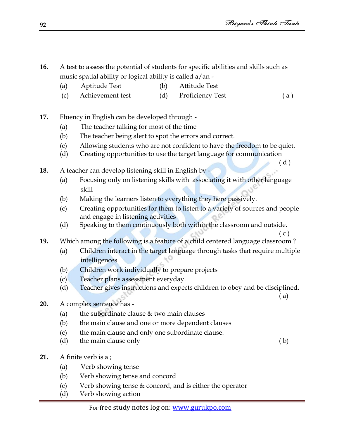- **16.** A test to assess the potential of students for specific abilities and skills such as music spatial ability or logical ability is called a/an -
	- (a) Aptitude Test (b) Attitude Test
	- (c) Achievement test (d) Proficiency Test ( a )
- **17.** Fluency in English can be developed through
	- (a) The teacher talking for most of the time
	- (b) The teacher being alert to spot the errors and correct.
	- (c) Allowing students who are not confident to have the freedom to be quiet.
	- (d) Creating opportunities to use the target language for communication  $(d)$
- **18.** A teacher can develop listening skill in English by
	- (a) Focusing only on listening skills with associating it with other language skill
	- (b) Making the learners listen to everything they here passively.
	- (c) Creating opportunities for them to listen to a variety of sources and people and engage in listening activities
	- (d) Speaking to them continuously both within the classroom and outside.
- **19.** Which among the following is a feature of a child centered language classroom ?
	- (a) Children interact in the target language through tasks that require multiple intelligences
	- (b) Children work individually to prepare projects
	- (c) Teacher plans assessment everyday.
	- (d) Teacher gives instructions and expects children to obey and be disciplined.
- **20.** A complex sentence has
	- (a) the subordinate clause  $&$  two main clauses
	- (b) the main clause and one or more dependent clauses
	- (c) the main clause and only one subordinate clause.
	- (d) the main clause only ( b)
- **21.** A finite verb is a ;
	- (a) Verb showing tense
	- (b) Verb showing tense and concord
	- (c) Verb showing tense & concord, and is either the operator
	- (d) Verb showing action

( a)

 $(c)$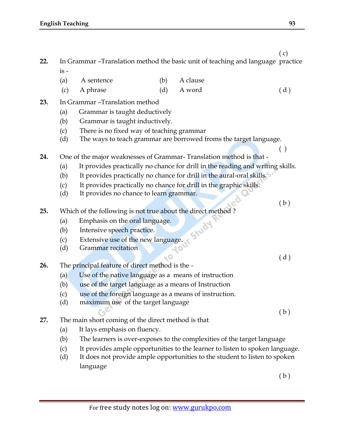- **22.** In Grammar –Translation method the basic unit of teaching and language practice is -
	- (a) A sentence (b) A clause
	- (c) A phrase  $(d)$  A word  $(d)$  (d)
- **23.** In Grammar –Translation method
	- (a) Grammar is taught deductively
	- (b) Grammar is taught inductively.
	- (c) There is no fixed way of teaching grammar
	- (d) The ways to teach grammar are borrowed froms the target language.
- **24.** One of the major weaknesses of Grammar- Translation method is that
	- (a) It provides practically no chance for drill in the reading and writing skills.
	- (b) It provides practically no chance for drill in the aural-oral skills.

 $_{50}$ 

- (c) It provides practically no chance for drill in the graphic skills.
- (d) It provides no chance to learn grammar.
- **25.** Which of the following is not true about the direct method ?
	- (a) Emphasis on the oral language.
	- (b) Intensive speech practice.
	- (c) Extensive use of the new language.
	- (d) Grammar recitation
- **26.** The principal feature of direct method is the
	- (a) Use of the native language as a means of instruction
	- (b) use of the target language as a means of Instruction
	- (c) use of the foreign language as a means of instruction.
	- (d) maximum use of the target language

( b )

- **27.** The main short coming of the direct method is that
	- (a) It lays emphasis on fluency.
	- (b) The learners is over-exposes to the complexities of the target language
	- (c) It provides ample opportunities to the learner to listen to spoken language.
	- (d) It does not provide ample opportunities to the student to listen to spoken language

( b )

( c)

( )

( b )

( d )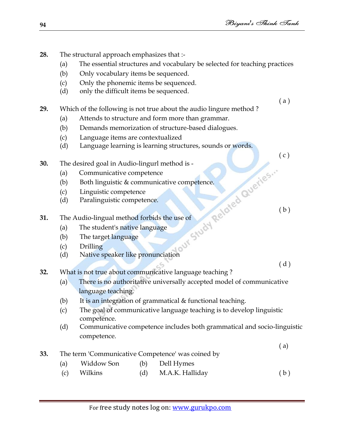- **28.** The structural approach emphasizes that :-
	- (a) The essential structures and vocabulary be selected for teaching practices
	- (b) Only vocabulary items be sequenced.
	- (c) Only the phonemic items be sequenced.
	- (d) only the difficult items be sequenced.
- **29.** Which of the following is not true about the audio lingure method ?
	- (a) Attends to structure and form more than grammar.
	- (b) Demands memorization of structure-based dialogues.
	- (c) Language items are contextualized
	- (d) Language learning is learning structures, sounds or words.
- **30.** The desired goal in Audio-lingurl method is
	- (a) Communicative competence
- hod is -<br>
e competence. (b) Both linguistic  $&\infty$  communicative competence.
	- (c) Linguistic competence
	- (d) Paralinguistic competence.
- **31.** The Audio-lingual method forbids the use of
	- (a) The student's native language
	- (b) The target language
	- (c) Drilling
	- (d) Native speaker like pronunciation

( d )

( b )

( a )

- **32.** What is not true about communicative language teaching ?
	- (a) There is no authoritative universally accepted model of communicative language teaching.
	- (b) It is an integration of grammatical & functional teaching.
	- (c) The goal of communicative language teaching is to develop linguistic competence.
	- (d) Communicative competence includes both grammatical and socio-linguistic competence.

( a)

- **33.** The term 'Communicative Competence' was coined by
	- (a) Widdow Son (b) Dell Hymes
	- (c) Wilkins (d) M.A.K. Halliday (b)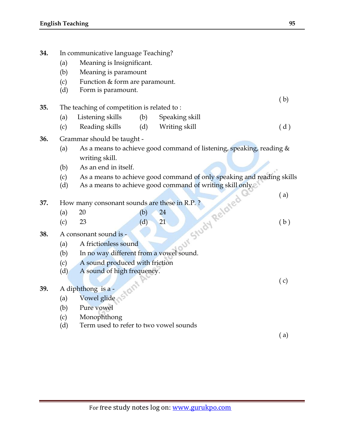**34.** In communicative language Teaching?

|     | (a)                                                                                                                                                                                                                                                                                                                                                                                                                                                                                                                                         | Meaning is Insignificant.                                            |     |                                                                        |     |  |
|-----|---------------------------------------------------------------------------------------------------------------------------------------------------------------------------------------------------------------------------------------------------------------------------------------------------------------------------------------------------------------------------------------------------------------------------------------------------------------------------------------------------------------------------------------------|----------------------------------------------------------------------|-----|------------------------------------------------------------------------|-----|--|
|     | (b)                                                                                                                                                                                                                                                                                                                                                                                                                                                                                                                                         | Meaning is paramount                                                 |     |                                                                        |     |  |
|     | (c)                                                                                                                                                                                                                                                                                                                                                                                                                                                                                                                                         | Function & form are paramount.                                       |     |                                                                        |     |  |
|     | (d)                                                                                                                                                                                                                                                                                                                                                                                                                                                                                                                                         | Form is paramount.                                                   |     |                                                                        |     |  |
|     |                                                                                                                                                                                                                                                                                                                                                                                                                                                                                                                                             |                                                                      |     |                                                                        | (b) |  |
| 35. |                                                                                                                                                                                                                                                                                                                                                                                                                                                                                                                                             | The teaching of competition is related to:                           |     |                                                                        |     |  |
|     | (a)                                                                                                                                                                                                                                                                                                                                                                                                                                                                                                                                         | Listening skills                                                     | (b) | Speaking skill                                                         |     |  |
|     | (c)                                                                                                                                                                                                                                                                                                                                                                                                                                                                                                                                         | Reading skills                                                       | (d) | Writing skill                                                          | (d) |  |
| 36. |                                                                                                                                                                                                                                                                                                                                                                                                                                                                                                                                             | Grammar should be taught -                                           |     |                                                                        |     |  |
|     | (a)                                                                                                                                                                                                                                                                                                                                                                                                                                                                                                                                         | As a means to achieve good command of listening, speaking, reading & |     |                                                                        |     |  |
|     |                                                                                                                                                                                                                                                                                                                                                                                                                                                                                                                                             | writing skill.                                                       |     |                                                                        |     |  |
|     | (b)                                                                                                                                                                                                                                                                                                                                                                                                                                                                                                                                         | As an end in itself.                                                 |     |                                                                        |     |  |
|     | (c)                                                                                                                                                                                                                                                                                                                                                                                                                                                                                                                                         |                                                                      |     | As a means to achieve good command of only speaking and reading skills |     |  |
|     | (d)                                                                                                                                                                                                                                                                                                                                                                                                                                                                                                                                         |                                                                      |     | As a means to achieve good command of writing skill only.              |     |  |
|     |                                                                                                                                                                                                                                                                                                                                                                                                                                                                                                                                             |                                                                      |     |                                                                        | (a) |  |
| 37. | How many consonant sounds are these in R.P.?                                                                                                                                                                                                                                                                                                                                                                                                                                                                                                |                                                                      |     |                                                                        |     |  |
|     | (a)                                                                                                                                                                                                                                                                                                                                                                                                                                                                                                                                         |                                                                      |     |                                                                        |     |  |
|     | (c)                                                                                                                                                                                                                                                                                                                                                                                                                                                                                                                                         |                                                                      |     |                                                                        | (b) |  |
| 38. | and is a trictionless sound<br>$\begin{bmatrix}\n\text{and is} \\ \text{and is} \\ \text{and is} \\ \text{and is} \\ \text{and is} \\ \text{and is} \\ \text{and is} \\ \text{and is} \\ \text{and is} \\ \text{and is} \\ \text{and is} \\ \text{and is} \\ \text{and is} \\ \text{and is} \\ \text{and is} \\ \text{and is} \\ \text{and is} \\ \text{and is} \\ \text{and is} \\ \text{and is} \\ \text{and is} \\ \text{and is} \\ \text{and is} \\ \text{and is} \\ \text{and is} \\ \text{and is} \\ \text$<br>A consonant sound is - |                                                                      |     |                                                                        |     |  |
|     | (a)                                                                                                                                                                                                                                                                                                                                                                                                                                                                                                                                         |                                                                      |     |                                                                        |     |  |
|     | (b)                                                                                                                                                                                                                                                                                                                                                                                                                                                                                                                                         |                                                                      |     |                                                                        |     |  |
|     | (c)                                                                                                                                                                                                                                                                                                                                                                                                                                                                                                                                         |                                                                      |     |                                                                        |     |  |
|     | (d)                                                                                                                                                                                                                                                                                                                                                                                                                                                                                                                                         |                                                                      |     |                                                                        |     |  |
|     |                                                                                                                                                                                                                                                                                                                                                                                                                                                                                                                                             |                                                                      |     |                                                                        | (c) |  |
| 39. | A diphthong is a -                                                                                                                                                                                                                                                                                                                                                                                                                                                                                                                          |                                                                      |     |                                                                        |     |  |
|     | (a)                                                                                                                                                                                                                                                                                                                                                                                                                                                                                                                                         | Vowel glide                                                          |     |                                                                        |     |  |
|     | (b)                                                                                                                                                                                                                                                                                                                                                                                                                                                                                                                                         | Pure vowel                                                           |     |                                                                        |     |  |
|     | (c)                                                                                                                                                                                                                                                                                                                                                                                                                                                                                                                                         | Monophthong                                                          |     |                                                                        |     |  |
|     | (d)                                                                                                                                                                                                                                                                                                                                                                                                                                                                                                                                         | Term used to refer to two vowel sounds                               |     |                                                                        |     |  |
|     |                                                                                                                                                                                                                                                                                                                                                                                                                                                                                                                                             |                                                                      |     |                                                                        | (a) |  |
|     |                                                                                                                                                                                                                                                                                                                                                                                                                                                                                                                                             |                                                                      |     |                                                                        |     |  |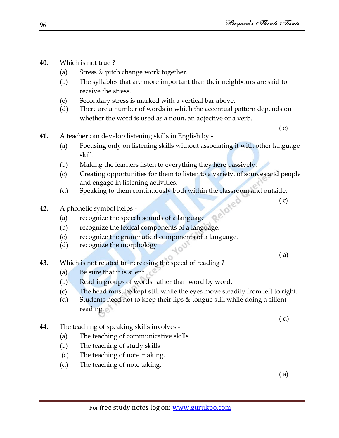- **40.** Which is not true ?
	- (a) Stress & pitch change work together.
	- (b) The syllables that are more important than their neighbours are said to receive the stress.
	- (c) Secondary stress is marked with a vertical bar above.
	- (d) There are a number of words in which the accentual pattern depends on whether the word is used as a noun, an adjective or a verb.

( c)

- **41.** A teacher can develop listening skills in English by
	- (a) Focusing only on listening skills without associating it with other language skill.
	- (b) Making the learners listen to everything they here passively.
	- (c) Creating opportunities for them to listen to a variety. of sources and people and engage in listening activities.
	- (d) Speaking to them continuously both within the classroom and outside.<br>
	(c) A phonetic symbol helps -<br>
	(a) recognize the speech and continuously both within the classroom and outside.
- **42.** A phonetic symbol helps
	- (a) recognize the speech sounds of a language
	- (b) recognize the lexical components of a language.
	- (c) recognize the grammatical components of a language.
	- (d) recognize the morphology.

( a)

( c)

- **43.** Which is not related to increasing the speed of reading ?
	- (a) Be sure that it is silent.
	- (b) Read in groups of words rather than word by word.
	- (c) The head must be kept still while the eyes move steadily from left to right.
	- (d) Students need not to keep their lips & tongue still while doing a silient reading.
- **44.** The teaching of speaking skills involves
	- (a) The teaching of communicative skills
	- (b) The teaching of study skills
	- (c) The teaching of note making.
	- (d) The teaching of note taking.

( a)

( d)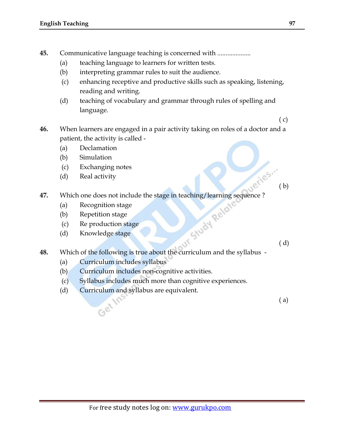- **45.** Communicative language teaching is concerned with ....................
	- (a) teaching language to learners for written tests.
	- (b) interpreting grammar rules to suit the audience.
	- (c) enhancing receptive and productive skills such as speaking, listening, reading and writing.
	- (d) teaching of vocabulary and grammar through rules of spelling and language.
- **46.** When learners are engaged in a pair activity taking on roles of a doctor and a patient, the activity is called -
	- (a) Declamation
	- (b) Simulation
	- (c) Exchanging notes
	- (d) Real activity
- **Uerles.** 47. Which one does not include the stage in teaching/learning sequence ?<br>
(a) Recognition stage<br>
(b) Repetition stage<br>
(c) Reproduction stage<br>
(d) Knowledge stage
	- (a) Recognition stage
	- (b) Repetition stage
	- (c) Re production stage
	- (d) Knowledge stage

**48.** Which of the following is true about the curriculum and the syllabus -

(a) Curriculum includes syllabus

Get

- (b) Curriculum includes non-cognitive activities.
- (c) Syllabus includes much more than cognitive experiences.
- (d) Curriculum and syllabus are equivalent.

( a)

( c)

( b)

( d)